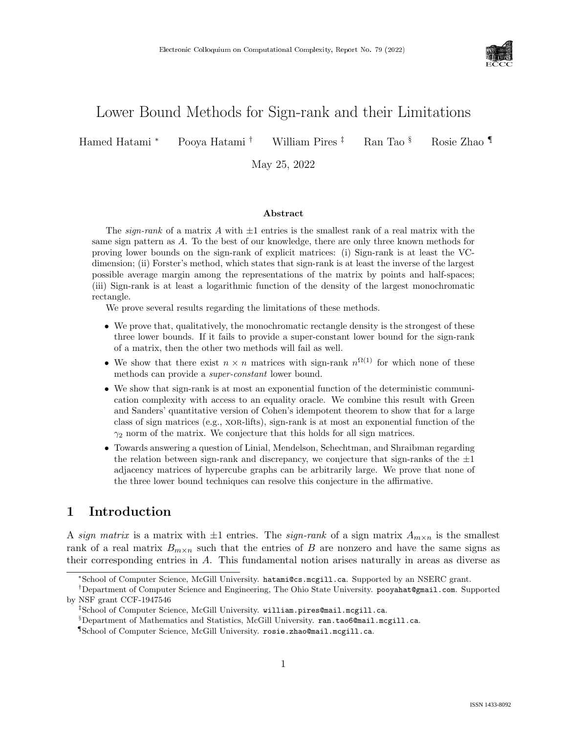

# Lower Bound Methods for Sign-rank and their Limitations

Hamed Hatami <sup>∗</sup> Pooya Hatami † William Pires ‡ Ran Tao § Rosie Zhao ¶

May 25, 2022

#### Abstract

The sign-rank of a matrix A with  $\pm 1$  entries is the smallest rank of a real matrix with the same sign pattern as A. To the best of our knowledge, there are only three known methods for proving lower bounds on the sign-rank of explicit matrices: (i) Sign-rank is at least the VCdimension; (ii) Forster's method, which states that sign-rank is at least the inverse of the largest possible average margin among the representations of the matrix by points and half-spaces; (iii) Sign-rank is at least a logarithmic function of the density of the largest monochromatic rectangle.

We prove several results regarding the limitations of these methods.

- We prove that, qualitatively, the monochromatic rectangle density is the strongest of these three lower bounds. If it fails to provide a super-constant lower bound for the sign-rank of a matrix, then the other two methods will fail as well.
- We show that there exist  $n \times n$  matrices with sign-rank  $n^{\Omega(1)}$  for which none of these methods can provide a super-constant lower bound.
- We show that sign-rank is at most an exponential function of the deterministic communication complexity with access to an equality oracle. We combine this result with Green and Sanders' quantitative version of Cohen's idempotent theorem to show that for a large class of sign matrices (e.g., xor-lifts), sign-rank is at most an exponential function of the  $\gamma_2$  norm of the matrix. We conjecture that this holds for all sign matrices.
- Towards answering a question of Linial, Mendelson, Schechtman, and Shraibman regarding the relation between sign-rank and discrepancy, we conjecture that sign-ranks of the  $\pm 1$ adjacency matrices of hypercube graphs can be arbitrarily large. We prove that none of the three lower bound techniques can resolve this conjecture in the affirmative.

# 1 Introduction

A sign matrix is a matrix with  $\pm 1$  entries. The sign-rank of a sign matrix  $A_{m \times n}$  is the smallest rank of a real matrix  $B_{m\times n}$  such that the entries of B are nonzero and have the same signs as their corresponding entries in A. This fundamental notion arises naturally in areas as diverse as

<sup>∗</sup>School of Computer Science, McGill University. hatami@cs.mcgill.ca. Supported by an NSERC grant.

<sup>†</sup>Department of Computer Science and Engineering, The Ohio State University. pooyahat@gmail.com. Supported by NSF grant CCF-1947546

<sup>‡</sup>School of Computer Science, McGill University. william.pires@mail.mcgill.ca.

<sup>§</sup>Department of Mathematics and Statistics, McGill University. ran.tao6@mail.mcgill.ca.

<sup>¶</sup>School of Computer Science, McGill University. rosie.zhao@mail.mcgill.ca.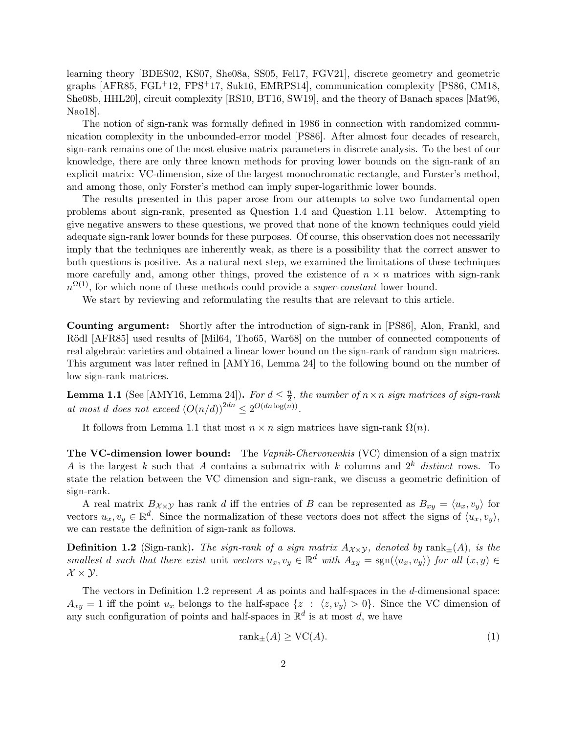learning theory [\[BDES02,](#page-27-0) [KS07,](#page-29-0) [She08a,](#page-30-0) [SS05,](#page-30-1) [Fel17,](#page-28-0) [FGV21\]](#page-28-1), discrete geometry and geometric graphs [\[AFR85,](#page-27-1) [FGL](#page-28-2)+12, [FPS](#page-28-3)+17, [Suk16,](#page-30-2) [EMRPS14\]](#page-28-4), communication complexity [\[PS86,](#page-30-3) [CM18,](#page-28-5) [She08b,](#page-30-4) [HHL20\]](#page-29-1), circuit complexity [\[RS10,](#page-30-5) [BT16,](#page-27-2) [SW19\]](#page-30-6), and the theory of Banach spaces [\[Mat96,](#page-30-7) [Nao18\]](#page-30-8).

The notion of sign-rank was formally defined in 1986 in connection with randomized communication complexity in the unbounded-error model [\[PS86\]](#page-30-3). After almost four decades of research, sign-rank remains one of the most elusive matrix parameters in discrete analysis. To the best of our knowledge, there are only three known methods for proving lower bounds on the sign-rank of an explicit matrix: VC-dimension, size of the largest monochromatic rectangle, and Forster's method, and among those, only Forster's method can imply super-logarithmic lower bounds.

The results presented in this paper arose from our attempts to solve two fundamental open problems about sign-rank, presented as [Question 1.4](#page-2-0) and [Question 1.11](#page-5-0) below. Attempting to give negative answers to these questions, we proved that none of the known techniques could yield adequate sign-rank lower bounds for these purposes. Of course, this observation does not necessarily imply that the techniques are inherently weak, as there is a possibility that the correct answer to both questions is positive. As a natural next step, we examined the limitations of these techniques more carefully and, among other things, proved the existence of  $n \times n$  matrices with sign-rank  $n^{\Omega(1)}$ , for which none of these methods could provide a *super-constant* lower bound.

We start by reviewing and reformulating the results that are relevant to this article.

Counting argument: Shortly after the introduction of sign-rank in [\[PS86\]](#page-30-3), Alon, Frankl, and Rödl [\[AFR85\]](#page-27-1) used results of [\[Mil64,](#page-30-9) [Tho65,](#page-30-10) [War68\]](#page-31-0) on the number of connected components of real algebraic varieties and obtained a linear lower bound on the sign-rank of random sign matrices. This argument was later refined in [\[AMY16,](#page-27-3) Lemma 24] to the following bound on the number of low sign-rank matrices.

<span id="page-1-0"></span>**Lemma 1.1** (See [\[AMY16,](#page-27-3) Lemma 24]). For  $d \leq \frac{n}{2}$  $\frac{n}{2}$ , the number of  $n \times n$  sign matrices of sign-rank at most d does not exceed  $(O(n/d))^{2dn} \leq 2^{O(dn \log(n))}$ .

It follows from [Lemma 1.1](#page-1-0) that most  $n \times n$  sign matrices have sign-rank  $\Omega(n)$ .

The VC-dimension lower bound: The Vapnik-Chervonenkis (VC) dimension of a sign matrix A is the largest k such that A contains a submatrix with k columns and  $2^k$  distinct rows. To state the relation between the VC dimension and sign-rank, we discuss a geometric definition of sign-rank.

A real matrix  $B_{\chi\times\chi}$  has rank d iff the entries of B can be represented as  $B_{xy} = \langle u_x, v_y \rangle$  for vectors  $u_x, v_y \in \mathbb{R}^d$ . Since the normalization of these vectors does not affect the signs of  $\langle u_x, v_y \rangle$ , we can restate the definition of sign-rank as follows.

<span id="page-1-1"></span>**Definition 1.2** (Sign-rank). The sign-rank of a sign matrix  $A_{\chi \chi}$ , denoted by rank $_{\pm}(A)$ , is the smallest d such that there exist unit vectors  $u_x, v_y \in \mathbb{R}^d$  with  $A_{xy} = \text{sgn}(\langle u_x, v_y \rangle)$  for all  $(x, y) \in$  $\mathcal{X} \times \mathcal{Y}$ .

The vectors in [Definition 1.2](#page-1-1) represent  $A$  as points and half-spaces in the  $d$ -dimensional space:  $A_{xy} = 1$  iff the point  $u_x$  belongs to the half-space  $\{z : \langle z, v_y \rangle > 0\}$ . Since the VC dimension of any such configuration of points and half-spaces in  $\mathbb{R}^d$  is at most d, we have

<span id="page-1-2"></span>
$$
rank_{\pm}(A) \ge VC(A). \tag{1}
$$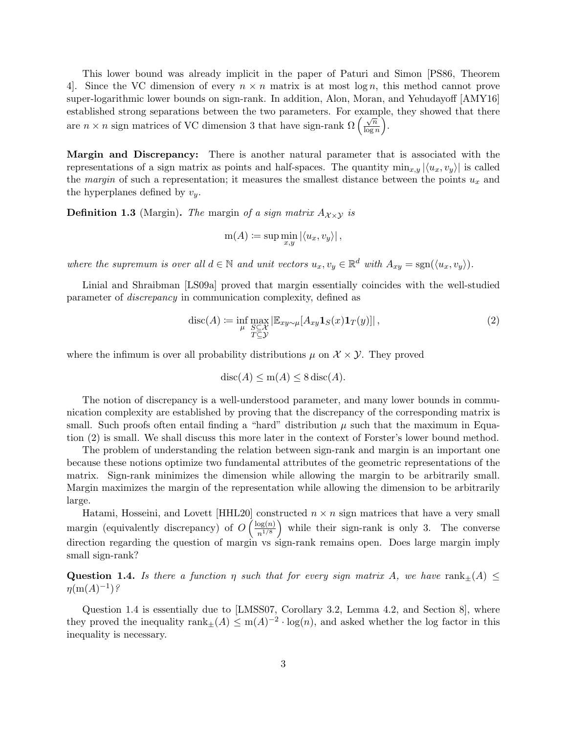This lower bound was already implicit in the paper of Paturi and Simon [\[PS86,](#page-30-3) Theorem 4. Since the VC dimension of every  $n \times n$  matrix is at most log n, this method cannot prove super-logarithmic lower bounds on sign-rank. In addition, Alon, Moran, and Yehudayoff [\[AMY16\]](#page-27-3) established strong separations between the two parameters. For example, they showed that there are  $n \times n$  sign matrices of VC dimension 3 that have sign-rank  $\Omega\left(\frac{\sqrt{n}}{\log n}\right)$  $\frac{\sqrt{n}}{\log n}\bigg).$ 

Margin and Discrepancy: There is another natural parameter that is associated with the representations of a sign matrix as points and half-spaces. The quantity  $\min_{x,y} |\langle u_x, v_y \rangle|$  is called the margin of such a representation; it measures the smallest distance between the points  $u_x$  and the hyperplanes defined by  $v_y$ .

<span id="page-2-2"></span>**Definition 1.3** (Margin). The margin of a sign matrix  $A_{\chi \times \chi}$  is

$$
m(A) := \sup \min_{x,y} |\langle u_x, v_y \rangle|,
$$

where the supremum is over all  $d \in \mathbb{N}$  and unit vectors  $u_x, v_y \in \mathbb{R}^d$  with  $A_{xy} = \text{sgn}(\langle u_x, v_y \rangle)$ .

Linial and Shraibman [\[LS09a\]](#page-29-2) proved that margin essentially coincides with the well-studied parameter of discrepancy in communication complexity, defined as

<span id="page-2-1"></span>
$$
\operatorname{disc}(A) := \inf_{\mu} \max_{\substack{S \subseteq \mathcal{X} \\ T \subseteq \mathcal{Y}}} \left| \mathbb{E}_{xy \sim \mu} [A_{xy} \mathbf{1}_S(x) \mathbf{1}_T(y)] \right|,\tag{2}
$$

where the infimum is over all probability distributions  $\mu$  on  $\mathcal{X} \times \mathcal{Y}$ . They proved

$$
disc(A) \le m(A) \le 8 \operatorname{disc}(A).
$$

The notion of discrepancy is a well-understood parameter, and many lower bounds in communication complexity are established by proving that the discrepancy of the corresponding matrix is small. Such proofs often entail finding a "hard" distribution  $\mu$  such that the maximum in [Equa](#page-2-1)[tion \(2\)](#page-2-1) is small. We shall discuss this more later in the context of Forster's lower bound method.

The problem of understanding the relation between sign-rank and margin is an important one because these notions optimize two fundamental attributes of the geometric representations of the matrix. Sign-rank minimizes the dimension while allowing the margin to be arbitrarily small. Margin maximizes the margin of the representation while allowing the dimension to be arbitrarily large.

Hatami, Hosseini, and Lovett [\[HHL20\]](#page-29-1) constructed  $n \times n$  sign matrices that have a very small margin (equivalently discrepancy) of  $O\left(\frac{\log(n)}{n^{1/8}}\right)$  $n^{1/8}$  while their sign-rank is only 3. The converse direction regarding the question of margin vs sign-rank remains open. Does large margin imply small sign-rank?

<span id="page-2-0"></span>Question 1.4. Is there a function  $\eta$  such that for every sign matrix A, we have rank $\pm(A) \leq$  $\eta(\mathrm{m}(A)^{-1})$ ?

[Question 1.4](#page-2-0) is essentially due to [\[LMSS07,](#page-29-3) Corollary 3.2, Lemma 4.2, and Section 8], where they proved the inequality  $rank_{\pm}(A) \leq m(A)^{-2} \cdot log(n)$ , and asked whether the log factor in this inequality is necessary.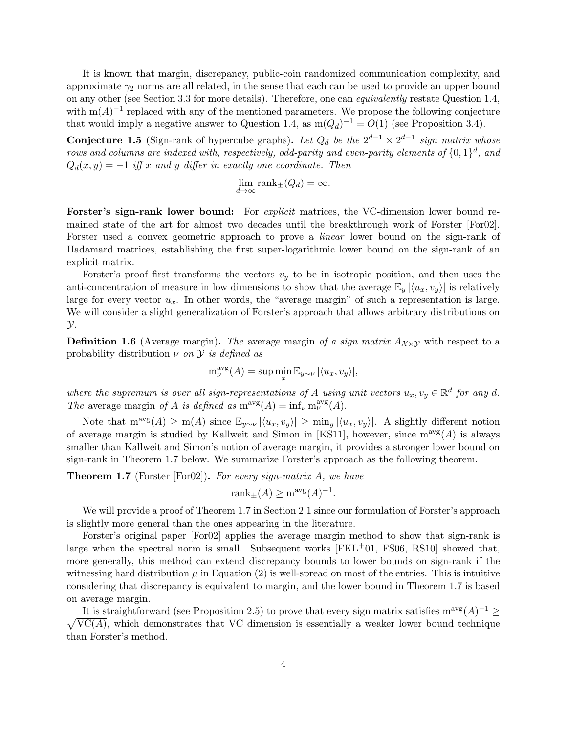It is known that margin, discrepancy, public-coin randomized communication complexity, and approximate  $\gamma_2$  norms are all related, in the sense that each can be used to provide an upper bound on any other (see [Section 3.3](#page-15-0) for more details). Therefore, one can equivalently restate [Question 1.4,](#page-2-0) with  $m(A)^{-1}$  replaced with any of the mentioned parameters. We propose the following conjecture that would imply a negative answer to [Question 1.4,](#page-2-0) as  $m(Q_d)^{-1} = O(1)$  (see [Proposition 3.4\)](#page-16-0).

<span id="page-3-1"></span>**Conjecture 1.5** (Sign-rank of hypercube graphs). Let  $Q_d$  be the  $2^{d-1} \times 2^{d-1}$  sign matrix whose rows and columns are indexed with, respectively, odd-parity and even-parity elements of  $\{0,1\}^d$ , and  $Q_d(x, y) = -1$  iff x and y differ in exactly one coordinate. Then

$$
\lim_{d \to \infty} \text{rank}_{\pm}(Q_d) = \infty.
$$

Forster's sign-rank lower bound: For *explicit* matrices, the VC-dimension lower bound remained state of the art for almost two decades until the breakthrough work of Forster [\[For02\]](#page-28-6). Forster used a convex geometric approach to prove a *linear* lower bound on the sign-rank of Hadamard matrices, establishing the first super-logarithmic lower bound on the sign-rank of an explicit matrix.

Forster's proof first transforms the vectors  $v_y$  to be in isotropic position, and then uses the anti-concentration of measure in low dimensions to show that the average  $\mathbb{E}_y |\langle u_x, v_y \rangle|$  is relatively large for every vector  $u_x$ . In other words, the "average margin" of such a representation is large. We will consider a slight generalization of Forster's approach that allows arbitrary distributions on  $\mathcal{Y}$ .

<span id="page-3-2"></span>**Definition 1.6** (Average margin). The average margin of a sign matrix  $A_{\chi\times\chi}$  with respect to a probability distribution  $\nu$  on  $\mathcal Y$  is defined as

$$
m_{\nu}^{\text{avg}}(A) = \sup \min_{x} \mathbb{E}_{y \sim \nu} |\langle u_x, v_y \rangle|,
$$

where the supremum is over all sign-representations of A using unit vectors  $u_x, v_y \in \mathbb{R}^d$  for any d. The average margin of A is defined as  $m^{\text{avg}}(A) = \inf_{\nu} m^{\text{avg}}_{\nu}(A)$ .

Note that  $m^{\text{avg}}(A) \geq m(A)$  since  $\mathbb{E}_{y \sim \nu} |\langle u_x, v_y \rangle| \geq \min_y |\langle u_x, v_y \rangle|$ . A slightly different notion of average margin is studied by Kallweit and Simon in [\[KS11\]](#page-29-4), however, since  $m^{avg}(A)$  is always smaller than Kallweit and Simon's notion of average margin, it provides a stronger lower bound on sign-rank in [Theorem 1.7](#page-3-0) below. We summarize Forster's approach as the following theorem.

<span id="page-3-0"></span>**Theorem 1.7** (Forster [\[For02\]](#page-28-6)). For every sign-matrix  $A$ , we have

$$
rank_{\pm}(A) \ge m^{avg}(A)^{-1}.
$$

We will provide a proof of [Theorem 1.7](#page-3-0) in [Section 2.1](#page-9-0) since our formulation of Forster's approach is slightly more general than the ones appearing in the literature.

Forster's original paper [\[For02\]](#page-28-6) applies the average margin method to show that sign-rank is large when the spectral norm is small. Subsequent works  $[FKL+01, FSO6, RS10]$  $[FKL+01, FSO6, RS10]$  showed that, more generally, this method can extend discrepancy bounds to lower bounds on sign-rank if the witnessing hard distribution  $\mu$  in [Equation \(2\)](#page-2-1) is well-spread on most of the entries. This is intuitive considering that discrepancy is equivalent to margin, and the lower bound in [Theorem 1.7](#page-3-0) is based on average margin.

It is straightforward (see [Proposition 2.5\)](#page-11-0) to prove that every sign matrix satisfies  $m^{\text{avg}}(A)^{-1} \geq$  $\sqrt{VC(A)}$ , which demonstrates that VC dimension is essentially a weaker lower bound technique than Forster's method.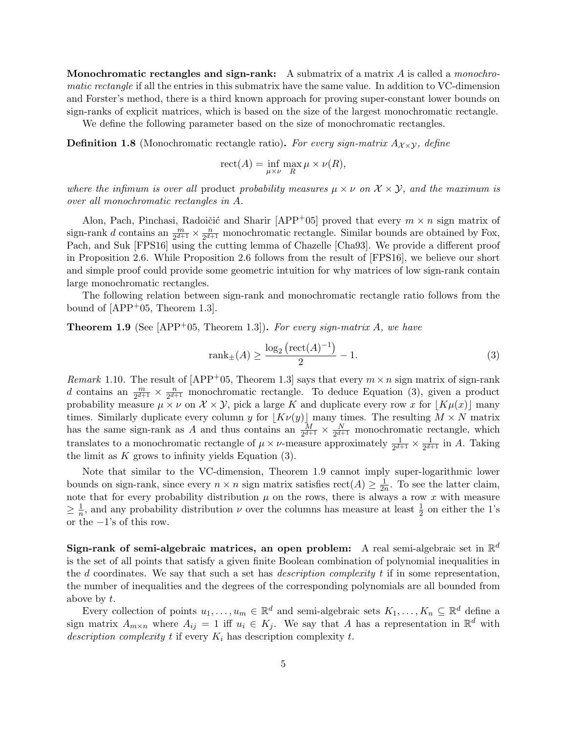**Monochromatic rectangles and sign-rank:** A submatrix of a matrix A is called a *monochro*matic rectangle if all the entries in this submatrix have the same value. In addition to VC-dimension and Forster's method, there is a third known approach for proving super-constant lower bounds on sign-ranks of explicit matrices, which is based on the size of the largest monochromatic rectangle. We define the following parameter based on the size of monochromatic rectangles.

**Definition 1.8** (Monochromatic rectangle ratio). For every sign-matrix  $A_{\chi \times \chi}$ , define

$$
\operatorname{rect}(A) = \inf_{\mu \times \nu} \max_R \mu \times \nu(R),
$$

where the infimum is over all product probability measures  $\mu \times \nu$  on  $\mathcal{X} \times \mathcal{Y}$ , and the maximum is over all monochromatic rectangles in A.

Alon, Pach, Pinchasi, Radoičić and Sharir [\[APP](#page-27-4)+05] proved that every  $m \times n$  sign matrix of sign-rank *d* contains an  $\frac{m}{2^{d+1}} \times \frac{n}{2^{d+1}}$  $\frac{n}{2^{d+1}}$  monochromatic rectangle. Similar bounds are obtained by Fox, Pach, and Suk [\[FPS16\]](#page-28-8) using the cutting lemma of Chazelle [\[Cha93\]](#page-28-9). We provide a different proof in [Proposition 2.6.](#page-11-1) While [Proposition 2.6](#page-11-1) follows from the result of [\[FPS16\]](#page-28-8), we believe our short and simple proof could provide some geometric intuition for why matrices of low sign-rank contain large monochromatic rectangles.

The following relation between sign-rank and monochromatic rectangle ratio follows from the bound of  $[APP<sup>+</sup>05, Theorem 1.3]$ .

<span id="page-4-1"></span>**Theorem 1.9** (See [\[APP](#page-27-4)<sup>+</sup>05, Theorem 1.3]). For every sign-matrix A, we have

<span id="page-4-0"></span>
$$
rank_{\pm}(A) \ge \frac{\log_2\left(\text{rect}(A)^{-1}\right)}{2} - 1.
$$
 (3)

<span id="page-4-2"></span>Remark 1.10. The result of  $[APP<sup>+</sup>05, Theorem 1.3]$  says that every  $m \times n$  sign matrix of sign-rank d contains an  $\frac{m}{2^{d+1}} \times \frac{n}{2^{d+1}}$  $\frac{n}{2^{d+1}}$  monochromatic rectangle. To deduce [Equation \(3\),](#page-4-0) given a product probability measure  $\mu \times \nu$  on  $\mathcal{X} \times \mathcal{Y}$ , pick a large K and duplicate every row x for  $|K\mu(x)|$  many times. Similarly duplicate every column y for  $\lfloor K\nu(y)\rfloor$  many times. The resulting  $M \times N$  matrix has the same sign-rank as A and thus contains an  $\frac{M}{2^{d+1}} \times \frac{N}{2^{d+1}}$  $\frac{N}{2^{d+1}}$  monochromatic rectangle, which translates to a monochromatic rectangle of  $\mu \times \nu$ -measure approximately  $\frac{1}{2^{d+1}} \times \frac{1}{2^{d+1}}$  $\frac{1}{2^{d+1}}$  in A. Taking the limit as  $K$  grows to infinity yields Equation  $(3)$ .

Note that similar to the VC-dimension, [Theorem 1.9](#page-4-1) cannot imply super-logarithmic lower bounds on sign-rank, since every  $n \times n$  sign matrix satisfies  $rect(A) \geq \frac{1}{2n}$  $\frac{1}{2n}$ . To see the latter claim, note that for every probability distribution  $\mu$  on the rows, there is always a row x with measure  $\geq \frac{1}{n}$  $\frac{1}{n}$ , and any probability distribution  $\nu$  over the columns has measure at least  $\frac{1}{2}$  on either the 1's or the  $-1$ 's of this row.

Sign-rank of semi-algebraic matrices, an open problem: A real semi-algebraic set in  $\mathbb{R}^d$ is the set of all points that satisfy a given finite Boolean combination of polynomial inequalities in the d coordinates. We say that such a set has *description complexity t* if in some representation, the number of inequalities and the degrees of the corresponding polynomials are all bounded from above by t.

Every collection of points  $u_1, \ldots, u_m \in \mathbb{R}^d$  and semi-algebraic sets  $K_1, \ldots, K_n \subseteq \mathbb{R}^d$  define a sign matrix  $A_{m\times n}$  where  $A_{ij} = 1$  iff  $u_i \in K_j$ . We say that A has a representation in  $\mathbb{R}^d$  with description complexity t if every  $K_i$  has description complexity t.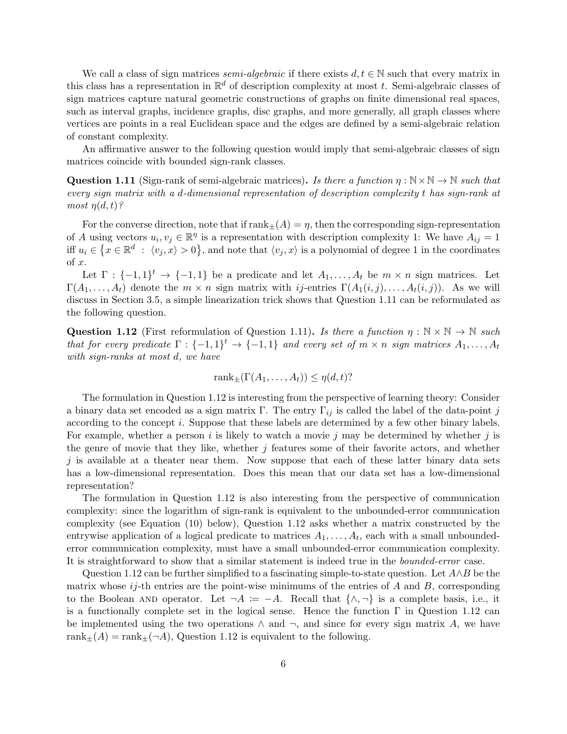We call a class of sign matrices *semi-algebraic* if there exists  $d, t \in \mathbb{N}$  such that every matrix in this class has a representation in  $\mathbb{R}^d$  of description complexity at most t. Semi-algebraic classes of sign matrices capture natural geometric constructions of graphs on finite dimensional real spaces, such as interval graphs, incidence graphs, disc graphs, and more generally, all graph classes where vertices are points in a real Euclidean space and the edges are defined by a semi-algebraic relation of constant complexity.

An affirmative answer to the following question would imply that semi-algebraic classes of sign matrices coincide with bounded sign-rank classes.

<span id="page-5-0"></span>**Question 1.11** (Sign-rank of semi-algebraic matrices). Is there a function  $\eta : \mathbb{N} \times \mathbb{N} \to \mathbb{N}$  such that every sign matrix with a d-dimensional representation of description complexity t has sign-rank at most  $\eta(d,t)$ ?

For the converse direction, note that if  $\text{rank}_{\pm}(A) = \eta$ , then the corresponding sign-representation of A using vectors  $u_i, v_j \in \mathbb{R}^{\eta}$  is a representation with description complexity 1: We have  $A_{ij} = 1$ iff  $u_i \in \{x \in \mathbb{R}^d : \langle v_j, x \rangle > 0\}$ , and note that  $\langle v_j, x \rangle$  is a polynomial of degree 1 in the coordinates of x.

Let  $\Gamma: \{-1,1\}^t \to \{-1,1\}$  be a predicate and let  $A_1,\ldots,A_t$  be  $m \times n$  sign matrices. Let  $\Gamma(A_1,\ldots,A_t)$  denote the  $m \times n$  sign matrix with ij-entries  $\Gamma(A_1(i,j),\ldots,A_t(i,j))$ . As we will discuss in [Section 3.5,](#page-21-0) a simple linearization trick shows that [Question 1.11](#page-5-0) can be reformulated as the following question.

<span id="page-5-1"></span>**Question 1.12** (First reformulation of [Question 1.11\)](#page-5-0). Is there a function  $\eta : \mathbb{N} \times \mathbb{N} \to \mathbb{N}$  such that for every predicate  $\Gamma: \{-1,1\}^t \to \{-1,1\}$  and every set of  $m \times n$  sign matrices  $A_1, \ldots, A_t$ with sign-ranks at most d, we have

$$
rank_{\pm}(\Gamma(A_1,\ldots,A_t)) \leq \eta(d,t)?
$$

The formulation in [Question 1.12](#page-5-1) is interesting from the perspective of learning theory: Consider a binary data set encoded as a sign matrix Γ. The entry  $\Gamma_{ij}$  is called the label of the data-point j according to the concept i. Suppose that these labels are determined by a few other binary labels. For example, whether a person i is likely to watch a movie j may be determined by whether j is the genre of movie that they like, whether  $j$  features some of their favorite actors, and whether  $j$  is available at a theater near them. Now suppose that each of these latter binary data sets has a low-dimensional representation. Does this mean that our data set has a low-dimensional representation?

The formulation in [Question 1.12](#page-5-1) is also interesting from the perspective of communication complexity: since the logarithm of sign-rank is equivalent to the unbounded-error communication complexity (see [Equation \(10\)](#page-16-1) below), [Question 1.12](#page-5-1) asks whether a matrix constructed by the entrywise application of a logical predicate to matrices  $A_1, \ldots, A_t$ , each with a small unboundederror communication complexity, must have a small unbounded-error communication complexity. It is straightforward to show that a similar statement is indeed true in the bounded-error case.

<span id="page-5-2"></span>[Question 1.12](#page-5-1) can be further simplified to a fascinating simple-to-state question. Let  $A \wedge B$  be the matrix whose  $ij$ -th entries are the point-wise minimums of the entries of A and B, corresponding to the Boolean AND operator. Let  $\neg A := -A$ . Recall that  $\{\wedge, \neg\}$  is a complete basis, i.e., it is a functionally complete set in the logical sense. Hence the function  $\Gamma$  in [Question 1.12](#page-5-1) can be implemented using the two operations  $\wedge$  and  $\neg$ , and since for every sign matrix A, we have rank $_{\pm}(A) = \text{rank}_{\pm}(\neg A)$ , [Question 1.12](#page-5-1) is equivalent to the following.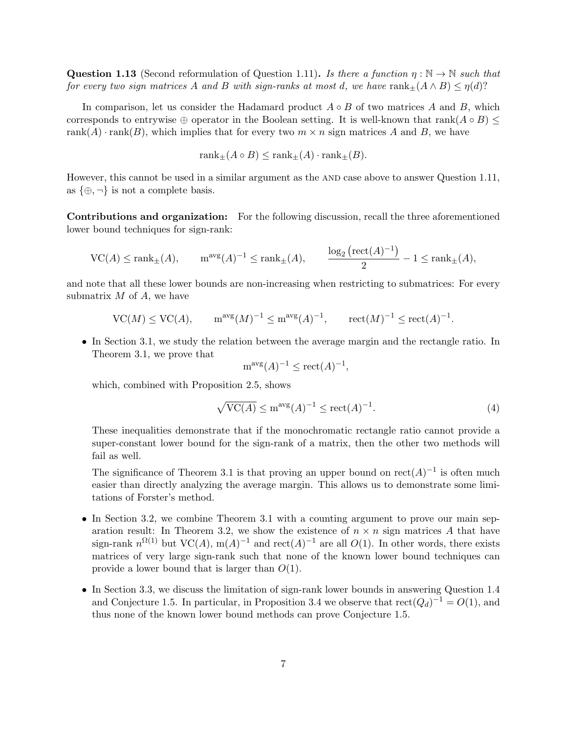**Question 1.13** (Second reformulation of [Question 1.11\)](#page-5-0). Is there a function  $\eta : \mathbb{N} \to \mathbb{N}$  such that for every two sign matrices A and B with sign-ranks at most d, we have  $rank_{\pm}(A \wedge B) \leq \eta(d)$ ?

In comparison, let us consider the Hadamard product  $A \circ B$  of two matrices A and B, which corresponds to entrywise  $\oplus$  operator in the Boolean setting. It is well-known that rank( $A \circ B$ )  $\leq$ rank(A) · rank(B), which implies that for every two  $m \times n$  sign matrices A and B, we have

$$
rank_{\pm}(A \circ B) \le rank_{\pm}(A) \cdot rank_{\pm}(B).
$$

However, this cannot be used in a similar argument as the AND case above to answer [Question 1.11,](#page-5-0) as  $\{\oplus, \neg\}$  is not a complete basis.

Contributions and organization: For the following discussion, recall the three aforementioned lower bound techniques for sign-rank:

$$
\mathrm{VC}(A) \le \mathrm{rank}_{\pm}(A), \qquad \mathrm{m}^{\mathrm{avg}}(A)^{-1} \le \mathrm{rank}_{\pm}(A), \qquad \frac{\log_2\left(\mathrm{rect}(A)^{-1}\right)}{2} - 1 \le \mathrm{rank}_{\pm}(A),
$$

and note that all these lower bounds are non-increasing when restricting to submatrices: For every submatrix  $M$  of  $A$ , we have

$$
VC(M) \le VC(A), \qquad m^{\text{avg}}(M)^{-1} \le m^{\text{avg}}(A)^{-1}, \qquad \text{rect}(M)^{-1} \le \text{rect}(A)^{-1}.
$$

• In [Section 3.1,](#page-13-0) we study the relation between the average margin and the rectangle ratio. In [Theorem 3.1,](#page-13-1) we prove that

$$
m^{\text{avg}}(A)^{-1} \le \text{rect}(A)^{-1},
$$

which, combined with [Proposition 2.5,](#page-11-0) shows

$$
\sqrt{\text{VC}(A)} \le \text{m}^{\text{avg}}(A)^{-1} \le \text{rect}(A)^{-1}.
$$
 (4)

These inequalities demonstrate that if the monochromatic rectangle ratio cannot provide a super-constant lower bound for the sign-rank of a matrix, then the other two methods will fail as well.

The significance of [Theorem 3.1](#page-13-1) is that proving an upper bound on  $rect(A)^{-1}$  is often much easier than directly analyzing the average margin. This allows us to demonstrate some limitations of Forster's method.

- In [Section 3.2,](#page-13-2) we combine [Theorem 3.1](#page-13-1) with a counting argument to prove our main sep-aration result: In [Theorem 3.2,](#page-13-3) we show the existence of  $n \times n$  sign matrices A that have sign-rank  $n^{\Omega(1)}$  but VC(A), m(A)<sup>-1</sup> and rect(A)<sup>-1</sup> are all O(1). In other words, there exists matrices of very large sign-rank such that none of the known lower bound techniques can provide a lower bound that is larger than  $O(1)$ .
- In [Section 3.3,](#page-15-0) we discuss the limitation of sign-rank lower bounds in answering [Question 1.4](#page-2-0) and [Conjecture 1.5.](#page-3-1) In particular, in [Proposition 3.4](#page-16-0) we observe that  $rect(Q_d)^{-1} = O(1)$ , and thus none of the known lower bound methods can prove [Conjecture 1.5.](#page-3-1)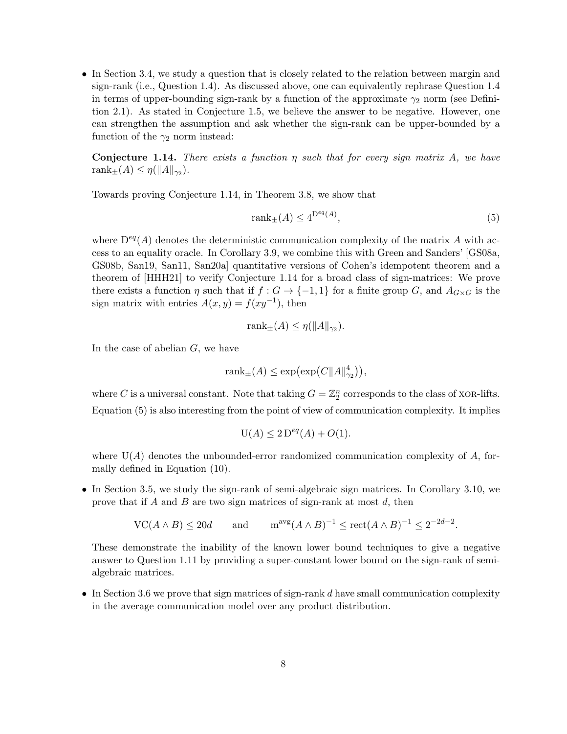• In [Section 3.4,](#page-19-0) we study a question that is closely related to the relation between margin and sign-rank (i.e., [Question 1.4\)](#page-2-0). As discussed above, one can equivalently rephrase [Question 1.4](#page-2-0) in terms of upper-bounding sign-rank by a function of the approximate  $\gamma_2$  norm (see [Defini](#page-8-0)[tion 2.1\)](#page-8-0). As stated in [Conjecture 1.5,](#page-3-1) we believe the answer to be negative. However, one can strengthen the assumption and ask whether the sign-rank can be upper-bounded by a function of the  $\gamma_2$  norm instead:

<span id="page-7-0"></span>**Conjecture 1.14.** There exists a function  $\eta$  such that for every sign matrix A, we have rank $_{\pm}(A) \leq \eta(||A||_{\gamma_2}).$ 

Towards proving [Conjecture 1.14,](#page-7-0) in [Theorem 3.8,](#page-19-1) we show that

<span id="page-7-1"></span>
$$
rank_{\pm}(A) \le 4^{\mathcal{D}^{eq}(A)},\tag{5}
$$

where  $D^{eq}(A)$  denotes the deterministic communication complexity of the matrix A with access to an equality oracle. In [Corollary 3.9,](#page-20-0) we combine this with Green and Sanders' [\[GS08a,](#page-29-6) [GS08b,](#page-29-7) [San19,](#page-30-11) [San11,](#page-30-12) [San20a\]](#page-30-13) quantitative versions of Cohen's idempotent theorem and a theorem of [\[HHH21\]](#page-29-8) to verify [Conjecture 1.14](#page-7-0) for a broad class of sign-matrices: We prove there exists a function  $\eta$  such that if  $f : G \to \{-1,1\}$  for a finite group G, and  $A_{G\times G}$  is the sign matrix with entries  $A(x, y) = f(xy^{-1})$ , then

$$
rank_{\pm}(A) \leq \eta(||A||_{\gamma_2}).
$$

In the case of abelian  $G$ , we have

$$
\operatorname{rank}_{\pm}(A) \le \exp\bigl(\exp\bigl(C\|A\|_{\gamma_2}^4\bigr)\bigr),
$$

where C is a universal constant. Note that taking  $G = \mathbb{Z}_2^n$  corresponds to the class of XOR-lifts. [Equation \(5\)](#page-7-1) is also interesting from the point of view of communication complexity. It implies

$$
U(A) \le 2 D^{eq}(A) + O(1).
$$

where  $U(A)$  denotes the unbounded-error randomized communication complexity of A, formally defined in [Equation \(10\).](#page-16-1)

• In [Section 3.5,](#page-21-0) we study the sign-rank of semi-algebraic sign matrices. In [Corollary 3.10,](#page-21-1) we prove that if A and B are two sign matrices of sign-rank at most  $d$ , then

$$
\operatorname{VC}(A \wedge B) \le 20d \qquad \text{and} \qquad \operatorname{m}^{\operatorname{avg}}(A \wedge B)^{-1} \le \operatorname{rect}(A \wedge B)^{-1} \le 2^{-2d-2}.
$$

These demonstrate the inability of the known lower bound techniques to give a negative answer to [Question 1.11](#page-5-0) by providing a super-constant lower bound on the sign-rank of semialgebraic matrices.

• In [Section 3.6](#page-26-0) we prove that sign matrices of sign-rank  $d$  have small communication complexity in the average communication model over any product distribution.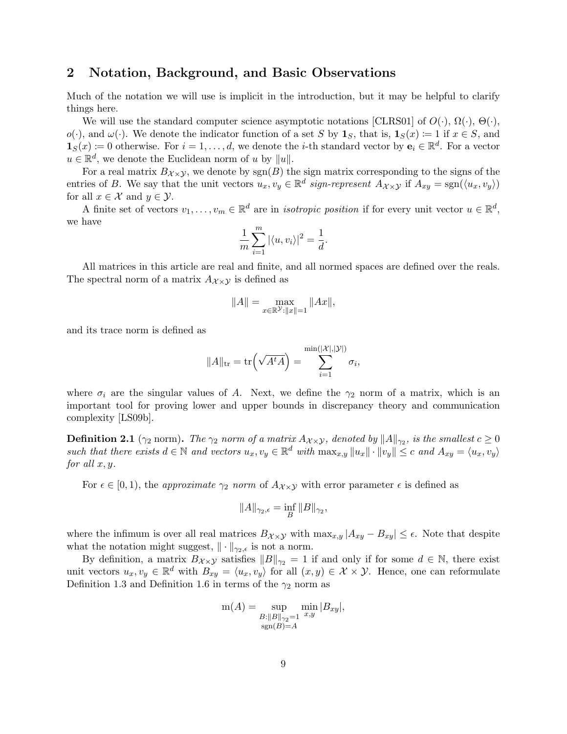# 2 Notation, Background, and Basic Observations

Much of the notation we will use is implicit in the introduction, but it may be helpful to clarify things here.

We will use the standard computer science asymptotic notations [\[CLRS01\]](#page-28-10) of  $O(\cdot)$ ,  $\Omega(\cdot)$ ,  $\Theta(\cdot)$ ,  $o(\cdot)$ , and  $\omega(\cdot)$ . We denote the indicator function of a set S by  $\mathbf{1}_S$ , that is,  $\mathbf{1}_S(x) := 1$  if  $x \in S$ , and  $\mathbf{1}_S(x) \coloneqq 0$  otherwise. For  $i = 1, \ldots, d$ , we denote the *i*-th standard vector by  $\mathbf{e}_i \in \mathbb{R}^d$ . For a vector  $u \in \mathbb{R}^d$ , we denote the Euclidean norm of u by  $||u||$ .

For a real matrix  $B_{\chi}\chi$ , we denote by sgn(B) the sign matrix corresponding to the signs of the entries of B. We say that the unit vectors  $u_x, v_y \in \mathbb{R}^d$  sign-represent  $A_{\mathcal{X}\times\mathcal{Y}}$  if  $A_{xy} = \text{sgn}(\langle u_x, v_y \rangle)$ for all  $x \in \mathcal{X}$  and  $y \in \mathcal{Y}$ .

A finite set of vectors  $v_1, \ldots, v_m \in \mathbb{R}^d$  are in *isotropic position* if for every unit vector  $u \in \mathbb{R}^d$ , we have

$$
\frac{1}{m}\sum_{i=1}^{m}|\langle u,v_i\rangle|^2=\frac{1}{d}.
$$

All matrices in this article are real and finite, and all normed spaces are defined over the reals. The spectral norm of a matrix  $A_{\chi\times\chi}$  is defined as

$$
||A|| = \max_{x \in \mathbb{R}^{\mathcal{Y}} : ||x|| = 1} ||Ax||,
$$

and its trace norm is defined as

$$
||A||_{\text{tr}} = \text{tr}\left(\sqrt{A^t A}\right) = \sum_{i=1}^{\min(|\mathcal{X}|, |\mathcal{Y}|)} \sigma_i,
$$

where  $\sigma_i$  are the singular values of A. Next, we define the  $\gamma_2$  norm of a matrix, which is an important tool for proving lower and upper bounds in discrepancy theory and communication complexity [\[LS09b\]](#page-29-9).

<span id="page-8-0"></span>**Definition 2.1** ( $\gamma_2$  norm). The  $\gamma_2$  norm of a matrix  $A_{\mathcal{X}\times\mathcal{Y}},$  denoted by  $\|A\|_{\gamma_2},$  is the smallest  $c\geq 0$ such that there exists  $d \in \mathbb{N}$  and vectors  $u_x, v_y \in \mathbb{R}^d$  with  $\max_{x,y} ||u_x|| \cdot ||v_y|| \leq c$  and  $A_{xy} = \langle u_x, v_y \rangle$ for all  $x, y$ .

For  $\epsilon \in [0, 1)$ , the *approximate*  $\gamma_2$  norm of  $A_{\mathcal{X}\times\mathcal{Y}}$  with error parameter  $\epsilon$  is defined as

$$
||A||_{\gamma_2,\epsilon} = \inf_B ||B||_{\gamma_2},
$$

where the infimum is over all real matrices  $B_{\chi\times y}$  with  $\max_{x,y}|A_{xy}-B_{xy}|\leq \epsilon$ . Note that despite what the notation might suggest,  $\|\cdot\|_{\gamma_2,\epsilon}$  is not a norm.

By definition, a matrix  $B_{\chi\times\chi}$  satisfies  $||B||_{\gamma_2} = 1$  if and only if for some  $d \in \mathbb{N}$ , there exist unit vectors  $u_x, v_y \in \mathbb{R}^d$  with  $B_{xy} = \langle u_x, v_y \rangle$  for all  $(x, y) \in \mathcal{X} \times \mathcal{Y}$ . Hence, one can reformulate [Definition 1.3](#page-2-2) and [Definition 1.6](#page-3-2) in terms of the  $\gamma_2$  norm as

$$
m(A) = \sup_{\substack{B: ||B||_{\gamma_2}=1 \\ \text{sgn}(B)=A}} \min_{x,y} |B_{xy}|,
$$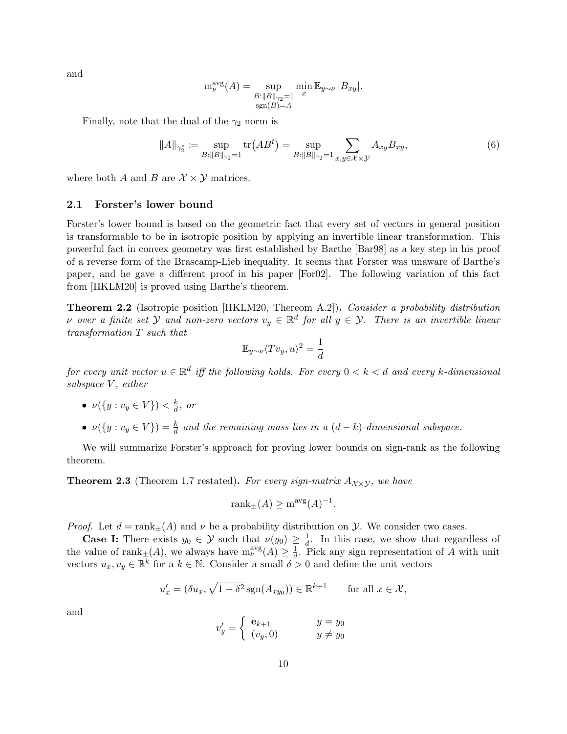and

$$
\mathsf{m}_{\nu}^{\text{avg}}(A) = \sup_{\substack{B: ||B||_{\gamma_2}=1 \\ \text{sgn}(B)=A}} \min_{x} \mathbb{E}_{y \sim \nu} |B_{xy}|.
$$

Finally, note that the dual of the  $\gamma_2$  norm is

<span id="page-9-2"></span>
$$
||A||_{\gamma_2^*} := \sup_{B:||B||_{\gamma_2}=1} \text{tr}(AB^t) = \sup_{B:||B||_{\gamma_2}=1} \sum_{x,y \in \mathcal{X} \times \mathcal{Y}} A_{xy} B_{xy},
$$
(6)

where both A and B are  $\mathcal{X} \times \mathcal{Y}$  matrices.

#### <span id="page-9-0"></span>2.1 Forster's lower bound

Forster's lower bound is based on the geometric fact that every set of vectors in general position is transformable to be in isotropic position by applying an invertible linear transformation. This powerful fact in convex geometry was first established by Barthe [\[Bar98\]](#page-27-5) as a key step in his proof of a reverse form of the Brascamp-Lieb inequality. It seems that Forster was unaware of Barthe's paper, and he gave a different proof in his paper [\[For02\]](#page-28-6). The following variation of this fact from [\[HKLM20\]](#page-29-10) is proved using Barthe's theorem.

<span id="page-9-1"></span>Theorem 2.2 (Isotropic position [\[HKLM20,](#page-29-10) Thereom A.2]). Consider a probability distribution v over a finite set  $Y$  and non-zero vectors  $v_y \in \mathbb{R}^d$  for all  $y \in Y$ . There is an invertible linear transformation T such that

$$
\mathbb{E}_{y \sim \nu} \langle Tv_y, u \rangle^2 = \frac{1}{d}
$$

for every unit vector  $u \in \mathbb{R}^d$  iff the following holds. For every  $0 < k < d$  and every k-dimensional subspace V, either

- $\bullet \ \nu(\lbrace y:v_y \in V \rbrace) < \frac{k}{d}$  $\frac{k}{d}$ , or
- $\nu({y : v_y \in V}) = \frac{k}{d}$  and the remaining mass lies in a  $(d-k)$ -dimensional subspace.

We will summarize Forster's approach for proving lower bounds on sign-rank as the following theorem.

**Theorem 2.3** [\(Theorem 1.7](#page-3-0) restated). For every sign-matrix  $A_{\chi}$  y, we have

$$
rank_{\pm}(A) \ge m^{avg}(A)^{-1}.
$$

*Proof.* Let  $d = \text{rank}_{+}(A)$  and  $\nu$  be a probability distribution on  $\mathcal{Y}$ . We consider two cases.

**Case I:** There exists  $y_0 \in \mathcal{Y}$  such that  $\nu(y_0) \geq \frac{1}{d}$  $\frac{1}{d}$ . In this case, we show that regardless of the value of rank $_{\pm}(A)$ , we always have  $m_{\nu}^{avg}(A) \geq \frac{1}{d}$  $\frac{1}{d}$ . Pick any sign representation of A with unit vectors  $u_x, v_y \in \mathbb{R}^k$  for a  $k \in \mathbb{N}$ . Consider a small  $\delta > 0$  and define the unit vectors

$$
u'_x = (\delta u_x, \sqrt{1 - \delta^2} \operatorname{sgn}(A_{xy_0})) \in \mathbb{R}^{k+1} \quad \text{for all } x \in \mathcal{X},
$$

and

$$
v'_y = \begin{cases} e_{k+1} & y = y_0 \\ (v_y, 0) & y \neq y_0 \end{cases}
$$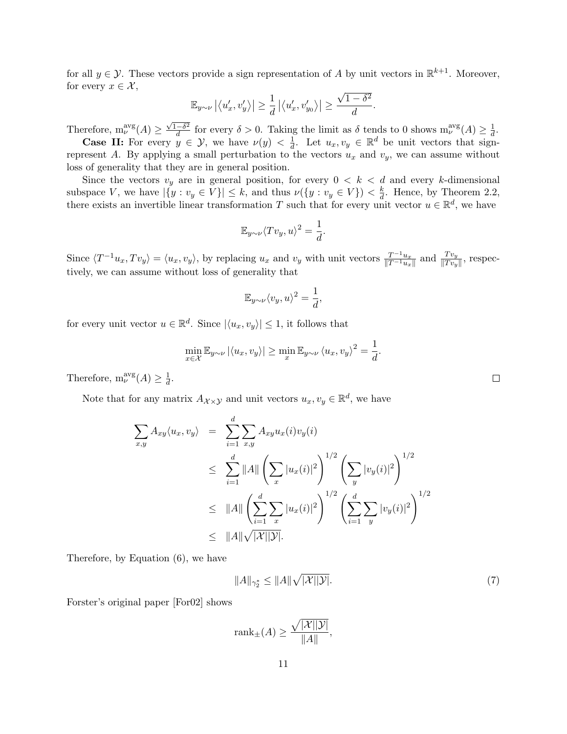for all  $y \in \mathcal{Y}$ . These vectors provide a sign representation of A by unit vectors in  $\mathbb{R}^{k+1}$ . Moreover, for every  $x \in \mathcal{X}$ , √

$$
\mathbb{E}_{y \sim \nu} |\langle u'_x, v'_y \rangle| \ge \frac{1}{d} |\langle u'_x, v'_y \rangle| \ge \frac{\sqrt{1-\delta^2}}{d}.
$$

Therefore,  $m_{\nu}^{avg}(A) \geq$  $\sqrt{1-\delta^2}$  $\frac{-\delta^2}{d}$  for every  $\delta > 0$ . Taking the limit as  $\delta$  tends to 0 shows  $m_{\nu}^{\text{avg}}(A) \geq \frac{1}{d}$  $\frac{1}{d}$ . **Case II:** For every  $y \in \mathcal{Y}$ , we have  $\nu(y) < \frac{1}{d}$  $\frac{1}{d}$ . Let  $u_x, v_y \in \mathbb{R}^d$  be unit vectors that sign-

represent A. By applying a small perturbation to the vectors  $u_x$  and  $v_y$ , we can assume without loss of generality that they are in general position.

Since the vectors  $v_y$  are in general position, for every  $0 < k < d$  and every k-dimensional subspace V, we have  $|\{y : v_y \in V\}| \leq k$ , and thus  $\nu(\{y : v_y \in V\}) < \frac{k}{d}$  $\frac{k}{d}$ . Hence, by [Theorem 2.2,](#page-9-1) there exists an invertible linear transformation T such that for every unit vector  $u \in \mathbb{R}^d$ , we have

$$
\mathbb{E}_{y \sim \nu} \langle Tv_y, u \rangle^2 = \frac{1}{d}.
$$

Since  $\langle T^{-1}u_x, Tv_y \rangle = \langle u_x, v_y \rangle$ , by replacing  $u_x$  and  $v_y$  with unit vectors  $\frac{T^{-1}u_x}{\|T^{-1}u_x\|}$  and  $\frac{Tv_y}{\|Tv_y\|}$ , respectively, we can assume without loss of generality that

$$
\mathbb{E}_{y \sim \nu} \langle v_y, u \rangle^2 = \frac{1}{d},
$$

for every unit vector  $u \in \mathbb{R}^d$ . Since  $|\langle u_x, v_y \rangle| \leq 1$ , it follows that

$$
\min_{x \in \mathcal{X}} \mathbb{E}_{y \sim \nu} |\langle u_x, v_y \rangle| \ge \min_x \mathbb{E}_{y \sim \nu} \langle u_x, v_y \rangle^2 = \frac{1}{d}.
$$

Therefore,  $m_{\nu}^{avg}(A) \geq \frac{1}{d}$  $\frac{1}{d}$ .

Note that for any matrix  $A_{\mathcal{X}\times\mathcal{Y}}$  and unit vectors  $u_x, v_y \in \mathbb{R}^d$ , we have

$$
\sum_{x,y} A_{xy} \langle u_x, v_y \rangle = \sum_{i=1}^d \sum_{x,y} A_{xy} u_x(i) v_y(i)
$$
\n
$$
\leq \sum_{i=1}^d ||A|| \left( \sum_x |u_x(i)|^2 \right)^{1/2} \left( \sum_y |v_y(i)|^2 \right)^{1/2}
$$
\n
$$
\leq ||A|| \left( \sum_{i=1}^d \sum_x |u_x(i)|^2 \right)^{1/2} \left( \sum_{i=1}^d \sum_y |v_y(i)|^2 \right)^{1/2}
$$
\n
$$
\leq ||A|| \sqrt{|X||\mathcal{Y}|}.
$$

Therefore, by [Equation \(6\),](#page-9-2) we have

<span id="page-10-0"></span>
$$
||A||_{\gamma_2^*} \le ||A|| \sqrt{|\mathcal{X}||\mathcal{Y}|}. \tag{7}
$$

Forster's original paper [\[For02\]](#page-28-6) shows

$$
rank_{\pm}(A) \ge \frac{\sqrt{|\mathcal{X}||\mathcal{Y}|}}{||A||},
$$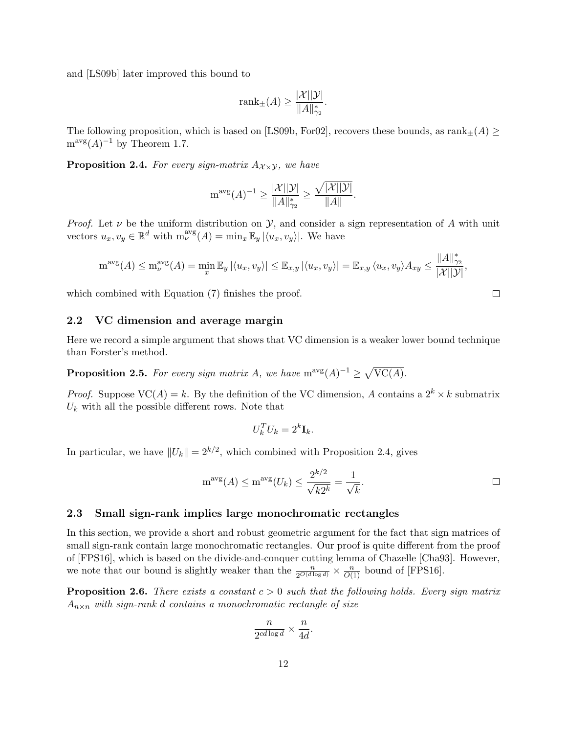and [\[LS09b\]](#page-29-9) later improved this bound to

$$
\text{rank}_{\pm}(A) \ge \frac{|\mathcal{X}||\mathcal{Y}|}{\|A\|_{\gamma_2}^*}.
$$

The following proposition, which is based on [\[LS09b,](#page-29-9) [For02\]](#page-28-6), recovers these bounds, as  $\text{rank}_{\pm}(A) \geq$  $m^{\text{avg}}(A)^{-1}$  by [Theorem 1.7.](#page-3-0)

<span id="page-11-2"></span>**Proposition 2.4.** For every sign-matrix  $A_{\chi \times \chi}$ , we have

$$
\mathrm{m}^{\mathrm{avg}}(A)^{-1} \ge \frac{|\mathcal{X}||\mathcal{Y}|}{\|A\|_{\gamma_2}^*} \ge \frac{\sqrt{|\mathcal{X}||\mathcal{Y}|}}{\|A\|}.
$$

*Proof.* Let  $\nu$  be the uniform distribution on  $\mathcal{Y}$ , and consider a sign representation of A with unit vectors  $u_x, v_y \in \mathbb{R}^d$  with  $m_{\nu}^{avg}(A) = \min_x \mathbb{E}_y |\langle u_x, v_y \rangle|$ . We have

$$
m^{\text{avg}}(A) \le m^{\text{avg}}_{\nu}(A) = \min_{x} \mathbb{E}_{y} |\langle u_x, v_y \rangle| \le \mathbb{E}_{x,y} |\langle u_x, v_y \rangle| = \mathbb{E}_{x,y} \langle u_x, v_y \rangle A_{xy} \le \frac{\|A\|_{\gamma_2}^*}{|\mathcal{X}||\mathcal{Y}|},
$$

which combined with [Equation \(7\)](#page-10-0) finishes the proof.

#### 2.2 VC dimension and average margin

Here we record a simple argument that shows that VC dimension is a weaker lower bound technique than Forster's method.

<span id="page-11-0"></span>**Proposition 2.5.** For every sign matrix A, we have  $m^{\text{avg}}(A)^{-1} \geq \sqrt{\text{VC}(A)}$ .

*Proof.* Suppose  $VC(A) = k$ . By the definition of the VC dimension, A contains a  $2^k \times k$  submatrix  $U_k$  with all the possible different rows. Note that

$$
U_k^T U_k = 2^k \mathbf{I}_k.
$$

In particular, we have  $||U_k|| = 2^{k/2}$ , which combined with [Proposition 2.4,](#page-11-2) gives

$$
m^{\text{avg}}(A) \le m^{\text{avg}}(U_k) \le \frac{2^{k/2}}{\sqrt{k2^k}} = \frac{1}{\sqrt{k}}.
$$

#### 2.3 Small sign-rank implies large monochromatic rectangles

In this section, we provide a short and robust geometric argument for the fact that sign matrices of small sign-rank contain large monochromatic rectangles. Our proof is quite different from the proof of [\[FPS16\]](#page-28-8), which is based on the divide-and-conquer cutting lemma of Chazelle [\[Cha93\]](#page-28-9). However, we note that our bound is slightly weaker than the  $\frac{n}{2^{O(d \log d)}} \times \frac{n}{O(1)}$  bound of [\[FPS16\]](#page-28-8).

<span id="page-11-1"></span>**Proposition 2.6.** There exists a constant  $c > 0$  such that the following holds. Every sign matrix  $A_{n\times n}$  with sign-rank d contains a monochromatic rectangle of size

$$
\frac{n}{2^{cd\log d}} \times \frac{n}{4d}.
$$

 $\Box$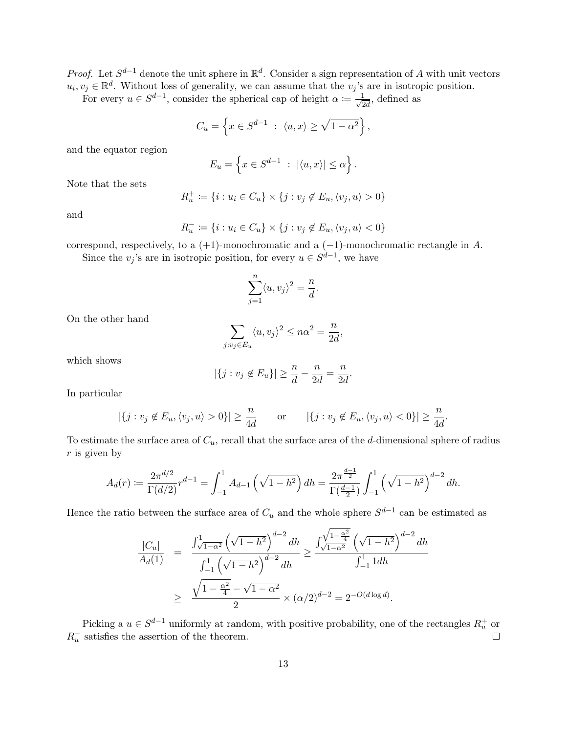*Proof.* Let  $S^{d-1}$  denote the unit sphere in  $\mathbb{R}^d$ . Consider a sign representation of A with unit vectors  $u_i, v_j \in \mathbb{R}^d$ . Without loss of generality, we can assume that the  $v_j$ 's are in isotropic position.

For every  $u \in S^{d-1}$ , consider the spherical cap of height  $\alpha = \frac{1}{\sqrt{d}}$  $\frac{1}{2d}$ , defined as

$$
C_u = \left\{ x \in S^{d-1} \ : \ \langle u, x \rangle \ge \sqrt{1 - \alpha^2} \right\},\
$$

and the equator region

$$
E_u = \left\{ x \in S^{d-1} \ : \ |\langle u, x \rangle| \le \alpha \right\}.
$$

Note that the sets

$$
R_u^+ := \{i : u_i \in C_u\} \times \{j : v_j \notin E_u, \langle v_j, u \rangle > 0\}
$$

and

$$
R_u^- \coloneqq \{i: u_i \in C_u\} \times \{j: v_j \not\in E_u, \langle v_j, u \rangle < 0\}
$$

correspond, respectively, to a  $(+1)$ -monochromatic and a  $(-1)$ -monochromatic rectangle in A. Since the  $v_j$ 's are in isotropic position, for every  $u \in S^{d-1}$ , we have

$$
\sum_{j=1}^{n} \langle u, v_j \rangle^2 = \frac{n}{d}.
$$

On the other hand

$$
\sum_{j:v_j\in E_u} \langle u, v_j \rangle^2 \leq n\alpha^2 = \frac{n}{2d},
$$

which shows

$$
|\{j : v_j \notin E_u\}| \ge \frac{n}{d} - \frac{n}{2d} = \frac{n}{2d}.
$$

In particular

$$
|\{j : v_j \notin E_u, \langle v_j, u \rangle > 0\}| \ge \frac{n}{4d}
$$
 or  $|\{j : v_j \notin E_u, \langle v_j, u \rangle < 0\}| \ge \frac{n}{4d}$ .

To estimate the surface area of  $C_u$ , recall that the surface area of the d-dimensional sphere of radius  $r$  is given by

$$
A_d(r) := \frac{2\pi^{d/2}}{\Gamma(d/2)} r^{d-1} = \int_{-1}^1 A_{d-1} \left(\sqrt{1-h^2}\right) dh = \frac{2\pi^{\frac{d-1}{2}}}{\Gamma(\frac{d-1}{2})} \int_{-1}^1 \left(\sqrt{1-h^2}\right)^{d-2} dh.
$$

Hence the ratio between the surface area of  $C_u$  and the whole sphere  $S^{d-1}$  can be estimated as

$$
\frac{|C_u|}{A_d(1)} = \frac{\int_{\sqrt{1-\alpha^2}}^1 (\sqrt{1-h^2})^{d-2} dh}{\int_{-1}^1 (\sqrt{1-h^2})^{d-2} dh} \ge \frac{\int_{\sqrt{1-\alpha^2}}^{\sqrt{1-\alpha^2}} (\sqrt{1-h^2})^{d-2} dh}{\int_{-1}^1 1 dh}
$$

$$
\ge \frac{\sqrt{1-\frac{\alpha^2}{4}} - \sqrt{1-\alpha^2}}{2} \times (\alpha/2)^{d-2} = 2^{-O(d \log d)}.
$$

Picking a  $u \in S^{d-1}$  uniformly at random, with positive probability, one of the rectangles  $R_u^+$  or  $R_u^-$  satisfies the assertion of the theorem.  $\Box$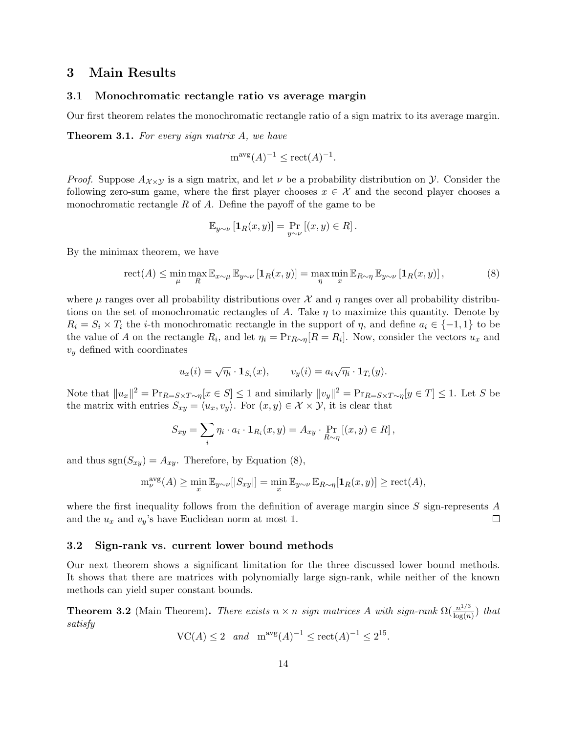## 3 Main Results

#### <span id="page-13-0"></span>3.1 Monochromatic rectangle ratio vs average margin

<span id="page-13-1"></span>Our first theorem relates the monochromatic rectangle ratio of a sign matrix to its average margin.

**Theorem 3.1.** For every sign matrix A, we have

$$
m^{\text{avg}}(A)^{-1} \le \text{rect}(A)^{-1}.
$$

*Proof.* Suppose  $A_{\chi}$  is a sign matrix, and let  $\nu$  be a probability distribution on  $\mathcal Y$ . Consider the following zero-sum game, where the first player chooses  $x \in \mathcal{X}$  and the second player chooses a monochromatic rectangle R of A. Define the payoff of the game to be

$$
\mathbb{E}_{y \sim \nu} \left[ \mathbf{1}_R(x, y) \right] = \Pr_{y \sim \nu} \left[ (x, y) \in R \right].
$$

By the minimax theorem, we have

<span id="page-13-4"></span>
$$
\text{rect}(A) \le \min_{\mu} \max_{R} \mathbb{E}_{x \sim \mu} \mathbb{E}_{y \sim \nu} \left[ \mathbf{1}_{R}(x, y) \right] = \max_{\eta} \min_{x} \mathbb{E}_{R \sim \eta} \mathbb{E}_{y \sim \nu} \left[ \mathbf{1}_{R}(x, y) \right],\tag{8}
$$

where  $\mu$  ranges over all probability distributions over  $\mathcal X$  and  $\eta$  ranges over all probability distributions on the set of monochromatic rectangles of A. Take  $\eta$  to maximize this quantity. Denote by  $R_i = S_i \times T_i$  the *i*-th monochromatic rectangle in the support of  $\eta$ , and define  $a_i \in \{-1, 1\}$  to be the value of A on the rectangle  $R_i$ , and let  $\eta_i = \Pr_{R \sim \eta}[R = R_i]$ . Now, consider the vectors  $u_x$  and  $v_y$  defined with coordinates

$$
u_x(i) = \sqrt{\eta_i} \cdot \mathbf{1}_{S_i}(x), \qquad v_y(i) = a_i \sqrt{\eta_i} \cdot \mathbf{1}_{T_i}(y).
$$

Note that  $||u_x||^2 = \Pr_{R=S\times T\sim \eta}[x\in S] \le 1$  and similarly  $||v_y||^2 = \Pr_{R=S\times T\sim \eta}[y\in T] \le 1$ . Let S be the matrix with entries  $S_{xy} = \langle u_x, v_y \rangle$ . For  $(x, y) \in \mathcal{X} \times \mathcal{Y}$ , it is clear that

$$
S_{xy} = \sum_{i} \eta_i \cdot a_i \cdot \mathbf{1}_{R_i}(x, y) = A_{xy} \cdot \Pr_{R \sim \eta} [(x, y) \in R],
$$

and thus  $sgn(S_{xy}) = A_{xy}$ . Therefore, by [Equation \(8\),](#page-13-4)

$$
\max_{\nu}^{\text{avg}}(A) \ge \min_{x} \mathbb{E}_{y \sim \nu}[|S_{xy}|] = \min_{x} \mathbb{E}_{y \sim \nu} \mathbb{E}_{R \sim \eta}[\mathbf{1}_R(x, y)] \ge \text{rect}(A),
$$

where the first inequality follows from the definition of average margin since  $S$  sign-represents  $A$ and the  $u_x$  and  $v_y$ 's have Euclidean norm at most 1.  $\Box$ 

#### <span id="page-13-2"></span>3.2 Sign-rank vs. current lower bound methods

Our next theorem shows a significant limitation for the three discussed lower bound methods. It shows that there are matrices with polynomially large sign-rank, while neither of the known methods can yield super constant bounds.

<span id="page-13-3"></span>**Theorem 3.2** (Main Theorem). There exists  $n \times n$  sign matrices A with sign-rank  $\Omega(\frac{n^{1/3}}{\log(n)})$  $\frac{n^{1/3}}{\log(n)}$ ) that satisfy

$$
VC(A) \le 2 \quad and \quad m^{\text{avg}}(A)^{-1} \le \text{rect}(A)^{-1} \le 2^{15}
$$

.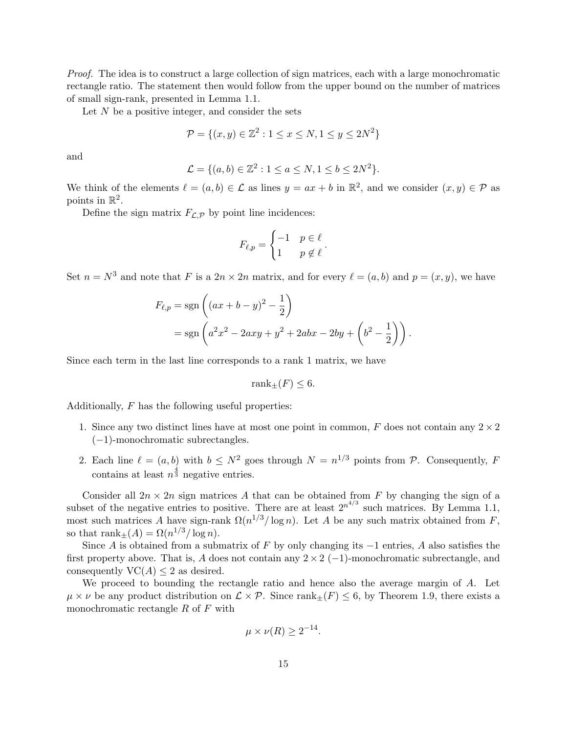Proof. The idea is to construct a large collection of sign matrices, each with a large monochromatic rectangle ratio. The statement then would follow from the upper bound on the number of matrices of small sign-rank, presented in [Lemma 1.1.](#page-1-0)

Let  $N$  be a positive integer, and consider the sets

$$
\mathcal{P} = \{(x, y) \in \mathbb{Z}^2 : 1 \le x \le N, 1 \le y \le 2N^2\}
$$

and

$$
\mathcal{L} = \{ (a, b) \in \mathbb{Z}^2 : 1 \le a \le N, 1 \le b \le 2N^2 \}.
$$

We think of the elements  $\ell = (a, b) \in \mathcal{L}$  as lines  $y = ax + b$  in  $\mathbb{R}^2$ , and we consider  $(x, y) \in \mathcal{P}$  as points in  $\mathbb{R}^2$ .

Define the sign matrix  $F_{\mathcal{L},\mathcal{P}}$  by point line incidences:

$$
F_{\ell,p} = \begin{cases} -1 & p \in \ell \\ 1 & p \notin \ell \end{cases}.
$$

Set  $n = N^3$  and note that F is a  $2n \times 2n$  matrix, and for every  $\ell = (a, b)$  and  $p = (x, y)$ , we have

$$
F_{\ell,p} = \text{sgn}\left( (ax + b - y)^2 - \frac{1}{2} \right)
$$
  
= 
$$
\text{sgn}\left( a^2x^2 - 2axy + y^2 + 2abx - 2by + \left( b^2 - \frac{1}{2} \right) \right).
$$

Since each term in the last line corresponds to a rank 1 matrix, we have

$$
\operatorname{rank}_{\pm}(F) \leq 6.
$$

Additionally,  $F$  has the following useful properties:

- 1. Since any two distinct lines have at most one point in common,  $F$  does not contain any  $2 \times 2$ (−1)-monochromatic subrectangles.
- 2. Each line  $\ell = (a, b)$  with  $b \leq N^2$  goes through  $N = n^{1/3}$  points from  $\mathcal{P}$ . Consequently, F contains at least  $n^{\frac{4}{3}}$  negative entries.

Consider all  $2n \times 2n$  sign matrices A that can be obtained from F by changing the sign of a subset of the negative entries to positive. There are at least  $2^{n^{4/3}}$  such matrices. By [Lemma 1.1,](#page-1-0) most such matrices A have sign-rank  $\Omega(n^{1/3}/\log n)$ . Let A be any such matrix obtained from F, so that  $\text{rank}_{\pm}(A) = \Omega(n^{1/3}/\log n)$ .

Since A is obtained from a submatrix of F by only changing its  $-1$  entries, A also satisfies the first property above. That is, A does not contain any  $2 \times 2$  (-1)-monochromatic subrectangle, and consequently  $VC(A) \leq 2$  as desired.

We proceed to bounding the rectangle ratio and hence also the average margin of A. Let  $\mu \times \nu$  be any product distribution on  $\mathcal{L} \times \mathcal{P}$ . Since rank $\pm(F) \leq 6$ , by [Theorem 1.9,](#page-4-1) there exists a monochromatic rectangle  $R$  of  $F$  with

$$
\mu \times \nu(R) \geq 2^{-14}.
$$

−14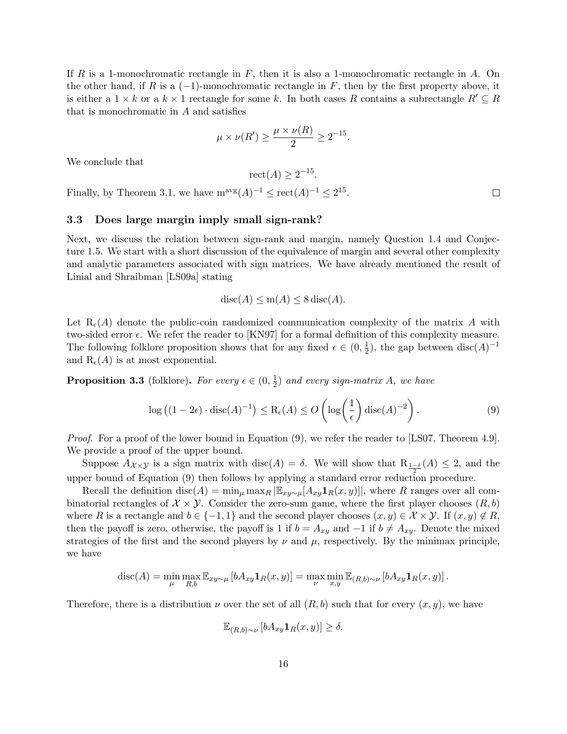If R is a 1-monochromatic rectangle in  $F$ , then it is also a 1-monochromatic rectangle in A. On the other hand, if R is a  $(-1)$ -monochromatic rectangle in F, then by the first property above, it is either a  $1 \times k$  or a  $k \times 1$  rectangle for some k. In both cases R contains a subrectangle  $R' \subseteq R$ that is monochromatic in  $A$  and satisfies

$$
\mu \times \nu(R') \ge \frac{\mu \times \nu(R)}{2} \ge 2^{-15}.
$$

We conclude that

$$
\operatorname{rect}(A) \ge 2^{-15}.
$$

Finally, by [Theorem 3.1,](#page-13-1) we have  $m^{\text{avg}}(A)^{-1} \leq \text{rect}(A)^{-1} \leq 2^{15}$ .

#### <span id="page-15-0"></span>3.3 Does large margin imply small sign-rank?

Next, we discuss the relation between sign-rank and margin, namely [Question 1.4](#page-2-0) and [Conjec](#page-3-1)[ture 1.5.](#page-3-1) We start with a short discussion of the equivalence of margin and several other complexity and analytic parameters associated with sign matrices. We have already mentioned the result of Linial and Shraibman [\[LS09a\]](#page-29-2) stating

$$
disc(A) \le m(A) \le 8 \operatorname{disc}(A).
$$

Let  $R_{\epsilon}(A)$  denote the public-coin randomized communication complexity of the matrix A with two-sided error  $\epsilon$ . We refer the reader to [\[KN97\]](#page-29-11) for a formal definition of this complexity measure. The following folklore proposition shows that for any fixed  $\epsilon \in (0, \frac{1}{2})$  $\frac{1}{2}$ ), the gap between disc(A)<sup>-1</sup> and  $R_{\epsilon}(A)$  is at most exponential.

<span id="page-15-2"></span>**Proposition 3.3** (folklore). For every  $\epsilon \in (0, \frac{1}{2})$  $\frac{1}{2}$ ) and every sign-matrix A, we have

<span id="page-15-1"></span>
$$
\log ((1 - 2\epsilon) \cdot \operatorname{disc}(A)^{-1}) \le \operatorname{R}_{\epsilon}(A) \le O\left(\log\left(\frac{1}{\epsilon}\right) \operatorname{disc}(A)^{-2}\right). \tag{9}
$$

Proof. For a proof of the lower bound in [Equation \(9\),](#page-15-1) we refer the reader to [\[LS07,](#page-29-12) Theorem 4.9]. We provide a proof of the upper bound.

Suppose  $A_{\mathcal{X}\times\mathcal{Y}}$  is a sign matrix with  $\text{disc}(A) = \delta$ . We will show that  $R_{\frac{1-\delta}{2}}(A) \leq 2$ , and the upper bound of [Equation \(9\)](#page-15-1) then follows by applying a standard error reduction procedure.

Recall the definition disc(A) =  $\min_{\mu} \max_{R} |\mathbb{E}_{xy \sim \mu}[A_{xy}1_R(x, y)]|$ , where R ranges over all combinatorial rectangles of  $\mathcal{X} \times \mathcal{Y}$ . Consider the zero-sum game, where the first player chooses  $(R, b)$ where R is a rectangle and  $b \in \{-1,1\}$  and the second player chooses  $(x, y) \in \mathcal{X} \times \mathcal{Y}$ . If  $(x, y) \notin R$ , then the payoff is zero, otherwise, the payoff is 1 if  $b = A_{xy}$  and  $-1$  if  $b \neq A_{xy}$ . Denote the mixed strategies of the first and the second players by  $\nu$  and  $\mu$ , respectively. By the minimax principle, we have

$$
\operatorname{disc}(A) = \min_{\mu} \max_{R,b} \mathbb{E}_{xy \sim \mu} \left[ b A_{xy} \mathbf{1}_R(x, y) \right] = \max_{\nu} \min_{x, y} \mathbb{E}_{(R,b) \sim \nu} \left[ b A_{xy} \mathbf{1}_R(x, y) \right].
$$

Therefore, there is a distribution  $\nu$  over the set of all  $(R, b)$  such that for every  $(x, y)$ , we have

$$
\mathbb{E}_{(R,b)\sim \nu} \left[ bA_{xy} \mathbf{1}_R(x,y) \right] \ge \delta.
$$

 $\Box$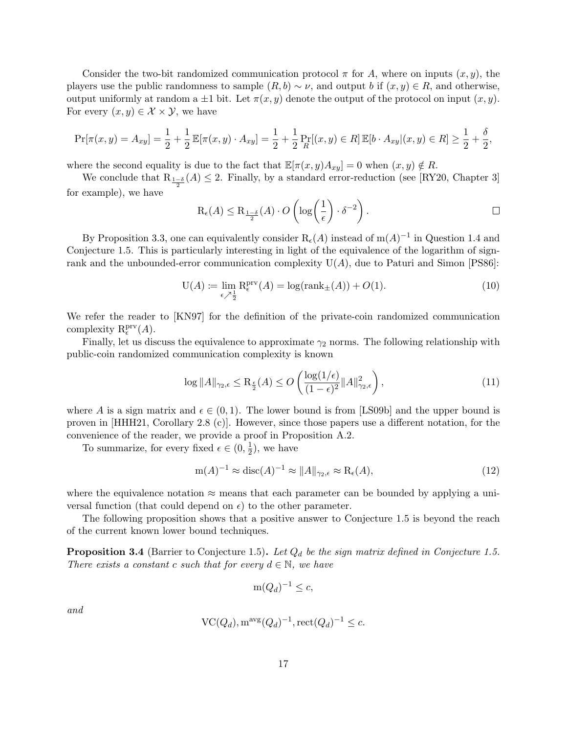Consider the two-bit randomized communication protocol  $\pi$  for A, where on inputs  $(x, y)$ , the players use the public randomness to sample  $(R, b) \sim \nu$ , and output b if  $(x, y) \in R$ , and otherwise, output uniformly at random a  $\pm 1$  bit. Let  $\pi(x, y)$  denote the output of the protocol on input  $(x, y)$ . For every  $(x, y) \in \mathcal{X} \times \mathcal{Y}$ , we have

$$
\Pr[\pi(x,y) = A_{xy}] = \frac{1}{2} + \frac{1}{2} \mathbb{E}[\pi(x,y) \cdot A_{xy}] = \frac{1}{2} + \frac{1}{2} \Pr_R[(x,y) \in R] \mathbb{E}[b \cdot A_{xy} | (x,y) \in R] \ge \frac{1}{2} + \frac{\delta}{2},
$$

where the second equality is due to the fact that  $\mathbb{E}[\pi(x, y)A_{xy}] = 0$  when  $(x, y) \notin R$ .

We conclude that  $R_{\frac{1-\delta}{2}}(A) \leq 2$ . Finally, by a standard error-reduction (see [\[RY20,](#page-30-14) Chapter 3] for example), we have

$$
\mathrm{R}_{\epsilon}(A) \leq \mathrm{R}_{\frac{1-\delta}{2}}(A) \cdot O\left(\log\left(\frac{1}{\epsilon}\right) \cdot \delta^{-2}\right).
$$

By [Proposition 3.3,](#page-15-2) one can equivalently consider  $R_{\epsilon}(A)$  instead of  $m(A)^{-1}$  in [Question 1.4](#page-2-0) and [Conjecture 1.5.](#page-3-1) This is particularly interesting in light of the equivalence of the logarithm of signrank and the unbounded-error communication complexity  $U(A)$ , due to Paturi and Simon [\[PS86\]](#page-30-3):

<span id="page-16-1"></span>
$$
U(A) := \lim_{\epsilon \nearrow \frac{1}{2}} R_{\epsilon}^{\text{prv}}(A) = \log(\text{rank}_{\pm}(A)) + O(1).
$$
 (10)

We refer the reader to [\[KN97\]](#page-29-11) for the definition of the private-coin randomized communication complexity  $R_{\epsilon}^{\text{prv}}(A)$ .

Finally, let us discuss the equivalence to approximate  $\gamma_2$  norms. The following relationship with public-coin randomized communication complexity is known

$$
\log ||A||_{\gamma_2,\epsilon} \le \mathcal{R}_{\frac{\epsilon}{2}}(A) \le O\left(\frac{\log(1/\epsilon)}{(1-\epsilon)^2} ||A||_{\gamma_2,\epsilon}^2\right),\tag{11}
$$

where A is a sign matrix and  $\epsilon \in (0,1)$ . The lower bound is from [\[LS09b\]](#page-29-9) and the upper bound is proven in [\[HHH21,](#page-29-8) Corollary 2.8 (c)]. However, since those papers use a different notation, for the convenience of the reader, we provide a proof in [Proposition A.2.](#page-31-1)

To summarize, for every fixed  $\epsilon \in (0, \frac{1}{2})$  $(\frac{1}{2})$ , we have

$$
m(A)^{-1} \approx \text{disc}(A)^{-1} \approx ||A||_{\gamma_2, \epsilon} \approx R_{\epsilon}(A),\tag{12}
$$

where the equivalence notation  $\approx$  means that each parameter can be bounded by applying a universal function (that could depend on  $\epsilon$ ) to the other parameter.

The following proposition shows that a positive answer to [Conjecture 1.5](#page-3-1) is beyond the reach of the current known lower bound techniques.

<span id="page-16-0"></span>**Proposition 3.4** (Barrier to [Conjecture 1.5\)](#page-3-1). Let  $Q_d$  be the sign matrix defined in [Conjecture 1.5.](#page-3-1) There exists a constant c such that for every  $d \in \mathbb{N}$ , we have

$$
m(Q_d)^{-1} \leq c,
$$

and

$$
\operatorname{VC}(Q_d), \operatorname{m}^{\operatorname{avg}}(Q_d)^{-1}, \operatorname{rect}(Q_d)^{-1} \le c.
$$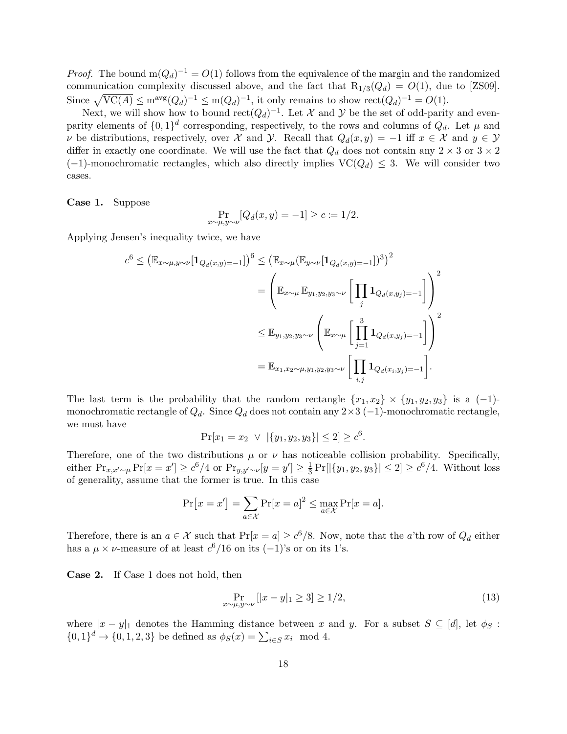*Proof.* The bound  $m(Q_d)^{-1} = O(1)$  follows from the equivalence of the margin and the randomized communication complexity discussed above, and the fact that  $R_{1/3}(Q_d) = O(1)$ , due to [\[ZS09\]](#page-31-2). Since  $\sqrt{\text{VC}(A)} \leq m^{\text{avg}}(Q_d)^{-1} \leq m(Q_d)^{-1}$ , it only remains to show  $\text{rect}(Q_d)^{-1} = O(1)$ .

Next, we will show how to bound  $rect(Q_d)^{-1}$ . Let X and Y be the set of odd-parity and evenparity elements of  $\{0,1\}^d$  corresponding, respectively, to the rows and columns of  $Q_d$ . Let  $\mu$  and v be distributions, respectively, over X and Y. Recall that  $Q_d(x, y) = -1$  iff  $x \in \mathcal{X}$  and  $y \in \mathcal{Y}$ differ in exactly one coordinate. We will use the fact that  $Q_d$  does not contain any  $2 \times 3$  or  $3 \times 2$  $(-1)$ -monochromatic rectangles, which also directly implies  $VC(Q_d) \leq 3$ . We will consider two cases.

Case 1. Suppose

$$
\Pr_{x \sim \mu, y \sim \nu} [Q_d(x, y) = -1] \ge c := 1/2.
$$

Applying Jensen's inequality twice, we have

$$
c^{6} \leq (\mathbb{E}_{x \sim \mu, y \sim \nu}[\mathbf{1}_{Q_{d}(x,y)=-1}])^{6} \leq (\mathbb{E}_{x \sim \mu}(\mathbb{E}_{y \sim \nu}[\mathbf{1}_{Q_{d}(x,y)=-1}])^{3})^{2}
$$
  

$$
= \left(\mathbb{E}_{x \sim \mu} \mathbb{E}_{y_{1}, y_{2}, y_{3} \sim \nu} \left[\prod_{j} \mathbf{1}_{Q_{d}(x,y_{j})=-1}\right]\right)^{2}
$$
  

$$
\leq \mathbb{E}_{y_{1}, y_{2}, y_{3} \sim \nu} \left(\mathbb{E}_{x \sim \mu} \left[\prod_{j=1}^{3} \mathbf{1}_{Q_{d}(x,y_{j})=-1}\right]\right)^{2}
$$
  

$$
= \mathbb{E}_{x_{1}, x_{2} \sim \mu, y_{1}, y_{2}, y_{3} \sim \nu} \left[\prod_{i,j} \mathbf{1}_{Q_{d}(x_{i}, y_{j})=-1}\right].
$$

The last term is the probability that the random rectangle  $\{x_1, x_2\} \times \{y_1, y_2, y_3\}$  is a (-1)monochromatic rectangle of  $Q_d$ . Since  $Q_d$  does not contain any 2×3 (-1)-monochromatic rectangle, we must have

$$
Pr[x_1 = x_2 \ \lor \ | \{y_1, y_2, y_3\} | \le 2] \ge c^6.
$$

Therefore, one of the two distributions  $\mu$  or  $\nu$  has noticeable collision probability. Specifically, either  $\Pr_{x,x'\sim\mu} \Pr[x=x'] \ge c^6/4$  or  $\Pr_{y,y'\sim\nu}[y=y'] \ge \frac{1}{3}$  $\frac{1}{3} \Pr[|\{y_1, y_2, y_3\}| \leq 2] \geq c^6/4$ . Without loss of generality, assume that the former is true. In this case

$$
\Pr[x = x'] = \sum_{a \in \mathcal{X}} \Pr[x = a]^2 \le \max_{a \in \mathcal{X}} \Pr[x = a].
$$

Therefore, there is an  $a \in \mathcal{X}$  such that  $Pr[x = a] \geq c^6/8$ . Now, note that the a'th row of  $Q_d$  either has a  $\mu \times \nu$ -measure of at least  $c^6/16$  on its  $(-1)$ 's or on its 1's.

Case 2. If Case 1 does not hold, then

<span id="page-17-0"></span>
$$
\Pr_{x \sim \mu, y \sim \nu} [|x - y|_1 \ge 3] \ge 1/2,
$$
\n(13)

where  $|x - y|_1$  denotes the Hamming distance between x and y. For a subset  $S \subseteq [d]$ , let  $\phi_S$ :  $\{0,1\}^d \to \{0,1,2,3\}$  be defined as  $\phi_S(x) = \sum_{i \in S} x_i \mod 4$ .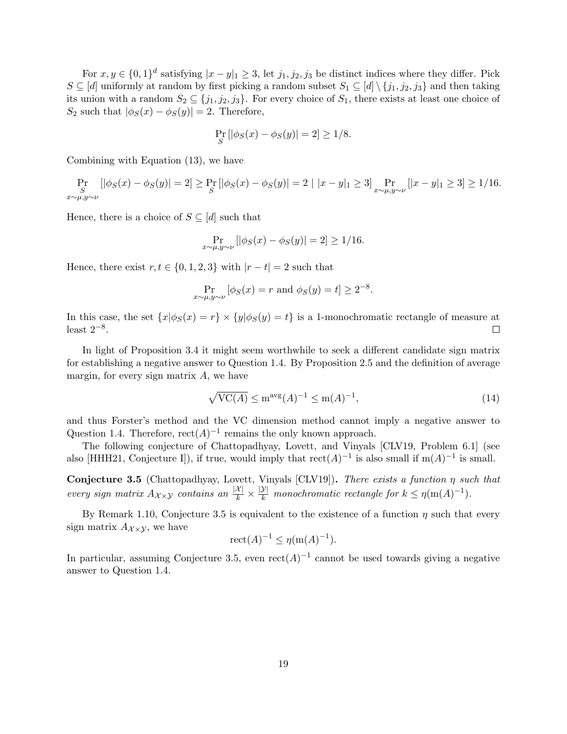For  $x, y \in \{0, 1\}^d$  satisfying  $|x - y|_1 \geq 3$ , let  $j_1, j_2, j_3$  be distinct indices where they differ. Pick  $S \subseteq [d]$  uniformly at random by first picking a random subset  $S_1 \subseteq [d] \setminus \{j_1, j_2, j_3\}$  and then taking its union with a random  $S_2 \subseteq \{j_1, j_2, j_3\}$ . For every choice of  $S_1$ , there exists at least one choice of S<sub>2</sub> such that  $|\phi_S(x) - \phi_S(y)| = 2$ . Therefore,

$$
\Pr_{S} [|\phi_S(x) - \phi_S(y)| = 2] \ge 1/8.
$$

Combining with [Equation \(13\),](#page-17-0) we have

$$
\Pr_{\substack{S \\ x \sim \mu, y \sim \nu}} [|\phi_S(x) - \phi_S(y)| = 2] \ge \Pr_S [|\phi_S(x) - \phi_S(y)| = 2 \mid |x - y|_1 \ge 3] \Pr_{x \sim \mu, y \sim \nu} [|x - y|_1 \ge 3] \ge 1/16.
$$

Hence, there is a choice of  $S \subseteq [d]$  such that

$$
\Pr_{x \sim \mu, y \sim \nu} [|\phi_S(x) - \phi_S(y)| = 2] \ge 1/16.
$$

Hence, there exist  $r, t \in \{0, 1, 2, 3\}$  with  $|r - t| = 2$  such that

$$
\Pr_{x \sim \mu, y \sim \nu} [\phi_S(x) = r \text{ and } \phi_S(y) = t] \ge 2^{-8}.
$$

In this case, the set  $\{x|\phi_S(x) = r\} \times \{y|\phi_S(y) = t\}$  is a 1-monochromatic rectangle of measure at least  $2^{-8}$ .  $\Box$ 

In light of [Proposition 3.4](#page-16-0) it might seem worthwhile to seek a different candidate sign matrix for establishing a negative answer to [Question 1.4.](#page-2-0) By [Proposition 2.5](#page-11-0) and the definition of average margin, for every sign matrix  $A$ , we have

$$
\sqrt{\text{VC}(A)} \le \text{m}^{\text{avg}}(A)^{-1} \le \text{m}(A)^{-1},\tag{14}
$$

and thus Forster's method and the VC dimension method cannot imply a negative answer to [Question 1.4.](#page-2-0) Therefore,  $rect(A)^{-1}$  remains the only known approach.

The following conjecture of Chattopadhyay, Lovett, and Vinyals [\[CLV19,](#page-28-11) Problem 6.1] (see also [\[HHH21,](#page-29-8) Conjecture I]), if true, would imply that  $rect(A)^{-1}$  is also small if  $m(A)^{-1}$  is small.

<span id="page-18-0"></span>Conjecture 3.5 (Chattopadhyay, Lovett, Vinyals [\[CLV19\]](#page-28-11)). There exists a function  $\eta$  such that every sign matrix  $A_{\mathcal{X}\times\mathcal{Y}}$  contains an  $\frac{|\mathcal{X}|}{k} \times \frac{|\mathcal{Y}|}{k}$  monochromatic rectangle for  $k \leq \eta(\text{m}(A)^{-1})$ .

By [Remark 1.10,](#page-4-2) [Conjecture 3.5](#page-18-0) is equivalent to the existence of a function  $\eta$  such that every sign matrix  $A_{\mathcal{X}\times\mathcal{Y}}$ , we have

$$
\mathrm{rect}(A)^{-1} \le \eta(\mathrm{m}(A)^{-1}).
$$

In particular, assuming [Conjecture 3.5,](#page-18-0) even  $rect(A)^{-1}$  cannot be used towards giving a negative answer to [Question 1.4.](#page-2-0)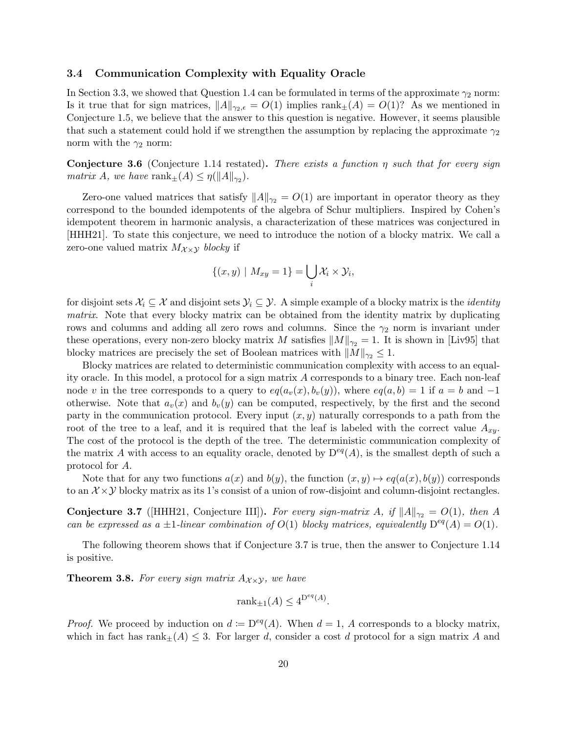#### <span id="page-19-0"></span>3.4 Communication Complexity with Equality Oracle

In [Section 3.3,](#page-15-0) we showed that [Question 1.4](#page-2-0) can be formulated in terms of the approximate  $\gamma_2$  norm: Is it true that for sign matrices,  $||A||_{\gamma_2,\epsilon} = O(1)$  implies  $\text{rank}_{\pm}(A) = O(1)$ ? As we mentioned in [Conjecture 1.5,](#page-3-1) we believe that the answer to this question is negative. However, it seems plausible that such a statement could hold if we strengthen the assumption by replacing the approximate  $\gamma_2$ norm with the  $\gamma_2$  norm:

**Conjecture 3.6** [\(Conjecture 1.14](#page-7-0) restated). There exists a function  $\eta$  such that for every sign matrix A, we have rank $\pm(A) \leq \eta(||A||_{\gamma_2}).$ 

Zero-one valued matrices that satisfy  $||A||_{\gamma_2} = O(1)$  are important in operator theory as they correspond to the bounded idempotents of the algebra of Schur multipliers. Inspired by Cohen's idempotent theorem in harmonic analysis, a characterization of these matrices was conjectured in [\[HHH21\]](#page-29-8). To state this conjecture, we need to introduce the notion of a blocky matrix. We call a zero-one valued matrix  $M_{\chi \times \chi}$  blocky if

$$
\{(x,y) \mid M_{xy}=1\} = \bigcup_i \mathcal{X}_i \times \mathcal{Y}_i,
$$

for disjoint sets  $\mathcal{X}_i \subseteq \mathcal{X}$  and disjoint sets  $\mathcal{Y}_i \subseteq \mathcal{Y}$ . A simple example of a blocky matrix is the *identity* matrix. Note that every blocky matrix can be obtained from the identity matrix by duplicating rows and columns and adding all zero rows and columns. Since the  $\gamma_2$  norm is invariant under these operations, every non-zero blocky matrix M satisfies  $||M||_{\gamma_2} = 1$ . It is shown in [\[Liv95\]](#page-29-13) that blocky matrices are precisely the set of Boolean matrices with  $||M||_{\gamma_2} \leq 1$ .

Blocky matrices are related to deterministic communication complexity with access to an equality oracle. In this model, a protocol for a sign matrix A corresponds to a binary tree. Each non-leaf node v in the tree corresponds to a query to  $eq(a_v(x), b_v(y))$ , where  $eq(a, b) = 1$  if  $a = b$  and  $-1$ otherwise. Note that  $a_v(x)$  and  $b_v(y)$  can be computed, respectively, by the first and the second party in the communication protocol. Every input  $(x, y)$  naturally corresponds to a path from the root of the tree to a leaf, and it is required that the leaf is labeled with the correct value  $A_{xy}$ . The cost of the protocol is the depth of the tree. The deterministic communication complexity of the matrix A with access to an equality oracle, denoted by  $D^{eq}(A)$ , is the smallest depth of such a protocol for A.

Note that for any two functions  $a(x)$  and  $b(y)$ , the function  $(x, y) \mapsto eq(a(x), b(y))$  corresponds to an  $\mathcal{X} \times \mathcal{Y}$  blocky matrix as its 1's consist of a union of row-disjoint and column-disjoint rectangles.

<span id="page-19-2"></span>Conjecture 3.7 ([\[HHH21,](#page-29-8) Conjecture III]). For every sign-matrix A, if  $||A||_{\gamma_2} = O(1)$ , then A can be expressed as a  $\pm 1$ -linear combination of  $O(1)$  blocky matrices, equivalently  $D^{eq}(A) = O(1)$ .

The following theorem shows that if [Conjecture 3.7](#page-19-2) is true, then the answer to [Conjecture 1.14](#page-7-0) is positive.

<span id="page-19-1"></span>**Theorem 3.8.** For every sign matrix  $A_{\chi \times \chi}$ , we have

$$
rank_{\pm 1}(A) \le 4^{D^{eq}(A)}.
$$

*Proof.* We proceed by induction on  $d := D^{eq}(A)$ . When  $d = 1$ , A corresponds to a blocky matrix, which in fact has rank $\pm(A) \leq 3$ . For larger d, consider a cost d protocol for a sign matrix A and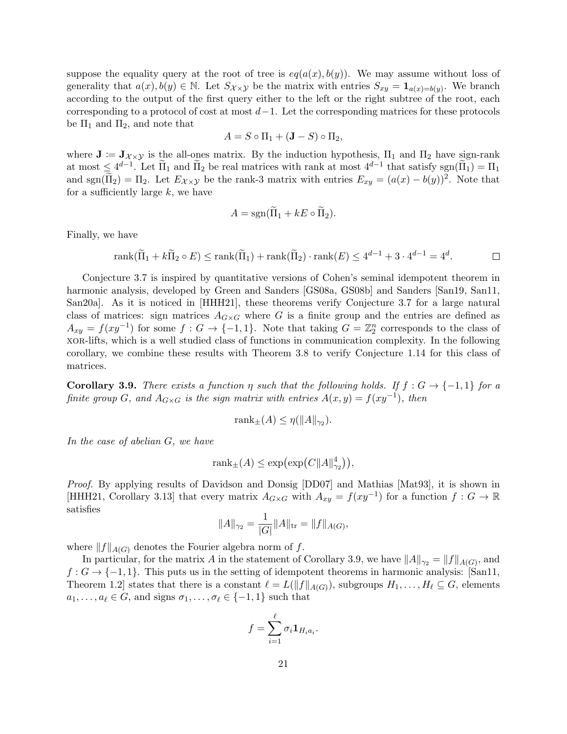suppose the equality query at the root of tree is  $eq(a(x), b(y))$ . We may assume without loss of generality that  $a(x), b(y) \in \mathbb{N}$ . Let  $S_{\mathcal{X}\times\mathcal{Y}}$  be the matrix with entries  $S_{xy} = \mathbf{1}_{a(x)=b(y)}$ . We branch according to the output of the first query either to the left or the right subtree of the root, each corresponding to a protocol of cost at most  $d-1$ . Let the corresponding matrices for these protocols be  $\Pi_1$  and  $\Pi_2$ , and note that

$$
A = S \circ \Pi_1 + (\mathbf{J} - S) \circ \Pi_2,
$$

where  $J = J_{\chi \times \gamma}$  is the all-ones matrix. By the induction hypothesis,  $\Pi_1$  and  $\Pi_2$  have sign-rank at most  $\leq 4^{d-1}$ . Let  $\overline{\Pi}_1$  and  $\overline{\Pi}_2$  be real matrices with rank at most  $4^{d-1}$  that satisfy  $sgn(\overline{\Pi}_1) = \Pi_1$ and sgn( $\widetilde{\Pi}_2$ ) =  $\Pi_2$ . Let  $E_{\mathcal{X}\times\mathcal{Y}}$  be the rank-3 matrix with entries  $E_{xy} = (a(x) - b(y))^2$ . Note that for a sufficiently large  $k$ , we have

$$
A = \text{sgn}(\Pi_1 + kE \circ \Pi_2).
$$

Finally, we have

rank(
$$
\widetilde{\Pi}_1 + k\widetilde{\Pi}_2 \circ E
$$
)  $\leq$  rank( $\widetilde{\Pi}_1$ ) + rank( $\widetilde{\Pi}_2$ ) · rank( $E$ )  $\leq 4^{d-1} + 3 \cdot 4^{d-1} = 4^d$ .

[Conjecture 3.7](#page-19-2) is inspired by quantitative versions of Cohen's seminal idempotent theorem in harmonic analysis, developed by Green and Sanders [\[GS08a,](#page-29-6) [GS08b\]](#page-29-7) and Sanders [\[San19,](#page-30-11) [San11,](#page-30-12) [San20a\]](#page-30-13). As it is noticed in [\[HHH21\]](#page-29-8), these theorems verify [Conjecture 3.7](#page-19-2) for a large natural class of matrices: sign matrices  $A_{G\times G}$  where G is a finite group and the entries are defined as  $A_{xy} = f(xy^{-1})$  for some  $f: G \to \{-1,1\}$ . Note that taking  $G = \mathbb{Z}_2^n$  corresponds to the class of xor-lifts, which is a well studied class of functions in communication complexity. In the following corollary, we combine these results with [Theorem 3.8](#page-19-1) to verify [Conjecture 1.14](#page-7-0) for this class of matrices.

<span id="page-20-0"></span>**Corollary 3.9.** There exists a function  $\eta$  such that the following holds. If  $f : G \to \{-1,1\}$  for a finite group G, and  $A_{G\times G}$  is the sign matrix with entries  $A(x,y) = f(xy^{-1})$ , then

$$
rank_{\pm}(A) \leq \eta(||A||_{\gamma_2}).
$$

In the case of abelian G, we have

$$
rank_{\pm}(A) \leq exp(exp(C||A||_{\gamma_2}^4)),
$$

Proof. By applying results of Davidson and Donsig [\[DD07\]](#page-28-12) and Mathias [\[Mat93\]](#page-29-14), it is shown in [\[HHH21,](#page-29-8) Corollary 3.13] that every matrix  $A_{G\times G}$  with  $A_{xy} = f(xy^{-1})$  for a function  $f: G \to \mathbb{R}$ satisfies

$$
||A||_{\gamma_2} = \frac{1}{|G|} ||A||_{\text{tr}} = ||f||_{A(G)},
$$

where  $||f||_{A(G)}$  denotes the Fourier algebra norm of f.

In particular, for the matrix A in the statement of [Corollary 3.9,](#page-20-0) we have  $||A||_{\gamma_2} = ||f||_{A(G)}$ , and  $f: G \to \{-1,1\}$ . This puts us in the setting of idempotent theorems in harmonic analysis: [\[San11,](#page-30-12) Theorem 1.2] states that there is a constant  $\ell = L(||f||_{A(G)})$ , subgroups  $H_1, \ldots, H_\ell \subseteq G$ , elements  $a_1, \ldots, a_\ell \in G$ , and signs  $\sigma_1, \ldots, \sigma_\ell \in \{-1, 1\}$  such that

$$
f = \sum_{i=1}^{\ell} \sigma_i \mathbf{1}_{H_i a_i}.
$$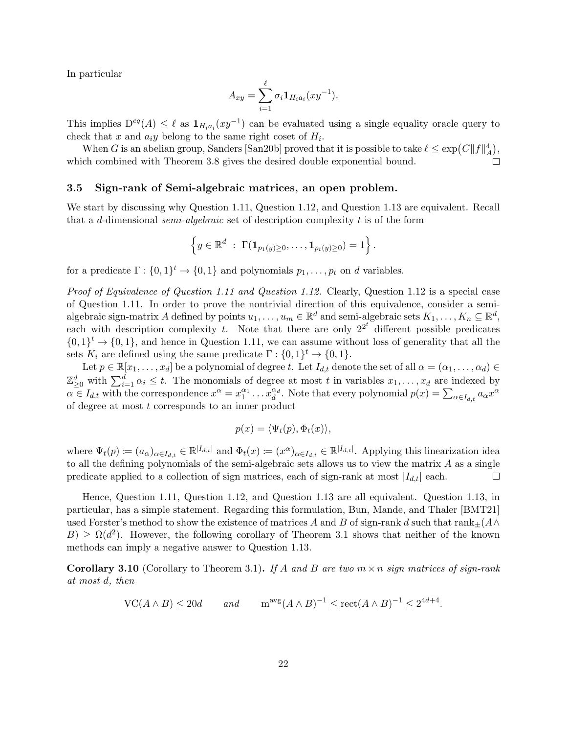In particular

$$
A_{xy} = \sum_{i=1}^{\ell} \sigma_i \mathbf{1}_{H_i a_i}(xy^{-1}).
$$

This implies  $D^{eq}(A) \leq \ell$  as  $\mathbf{1}_{H_i a_i}(xy^{-1})$  can be evaluated using a single equality oracle query to check that x and  $a_i y$  belong to the same right coset of  $H_i$ .

When G is an abelian group, Sanders [\[San20b\]](#page-30-15) proved that it is possible to take  $\ell \leq \exp(C||f||^4_A)$ , which combined with [Theorem 3.8](#page-19-1) gives the desired double exponential bound. П

#### <span id="page-21-0"></span>3.5 Sign-rank of Semi-algebraic matrices, an open problem.

We start by discussing why [Question 1.11,](#page-5-0) [Question 1.12,](#page-5-1) and [Question 1.13](#page-5-2) are equivalent. Recall that a d-dimensional *semi-algebraic* set of description complexity t is of the form

$$
\left\{y \in \mathbb{R}^d \; : \; \Gamma(\mathbf{1}_{p_1(y)\geq 0}, \ldots, \mathbf{1}_{p_t(y)\geq 0}) = 1\right\}.
$$

for a predicate  $\Gamma: \{0,1\}^t \to \{0,1\}$  and polynomials  $p_1, \ldots, p_t$  on d variables.

Proof of Equivalence of [Question 1.11](#page-5-0) and [Question 1.12.](#page-5-1) Clearly, [Question 1.12](#page-5-1) is a special case of [Question 1.11.](#page-5-0) In order to prove the nontrivial direction of this equivalence, consider a semialgebraic sign-matrix A defined by points  $u_1, \ldots, u_m \in \mathbb{R}^d$  and semi-algebraic sets  $K_1, \ldots, K_n \subseteq \mathbb{R}^d$ , each with description complexity t. Note that there are only  $2^{2^t}$  different possible predicates  $\{0,1\}^t \to \{0,1\}$ , and hence in [Question 1.11,](#page-5-0) we can assume without loss of generality that all the sets  $K_i$  are defined using the same predicate  $\Gamma: \{0,1\}^t \to \{0,1\}.$ 

Let  $p \in \mathbb{R}[x_1,\ldots,x_d]$  be a polynomial of degree t. Let  $I_{d,t}$  denote the set of all  $\alpha = (\alpha_1,\ldots,\alpha_d) \in$  $\mathbb{Z}_{\geq 0}^d$  with  $\sum_{i=1}^d \alpha_i \leq t$ . The monomials of degree at most t in variables  $x_1, \ldots, x_d$  are indexed by  $\alpha \in I_{d,t}$  with the correspondence  $x^{\alpha} = x_1^{\alpha_1} \dots x_d^{\alpha_d}$ . Note that every polynomial  $p(x) = \sum_{\alpha \in I_{d,t}} a_{\alpha} x^{\alpha}$ of degree at most t corresponds to an inner product

$$
p(x) = \langle \Psi_t(p), \Phi_t(x) \rangle,
$$

where  $\Psi_t(p) \coloneqq (a_\alpha)_{\alpha \in I_{d,t}} \in \mathbb{R}^{|I_{d,t}|}$  and  $\Phi_t(x) \coloneqq (x^\alpha)_{\alpha \in I_{d,t}} \in \mathbb{R}^{|I_{d,t}|}$ . Applying this linearization idea to all the defining polynomials of the semi-algebraic sets allows us to view the matrix A as a single predicate applied to a collection of sign matrices, each of sign-rank at most  $|I_{d,t}|$  each.  $\Box$ 

Hence, [Question 1.11,](#page-5-0) [Question 1.12,](#page-5-1) and [Question 1.13](#page-5-2) are all equivalent. [Question 1.13,](#page-5-2) in particular, has a simple statement. Regarding this formulation, Bun, Mande, and Thaler [\[BMT21\]](#page-27-6) used Forster's method to show the existence of matrices A and B of sign-rank d such that rank $+(A \wedge$  $B$ )  $\geq \Omega(d^2)$ . However, the following corollary of [Theorem 3.1](#page-13-1) shows that neither of the known methods can imply a negative answer to [Question 1.13.](#page-5-2)

<span id="page-21-1"></span>**Corollary 3.10** (Corollary to [Theorem 3.1\)](#page-13-1). If A and B are two  $m \times n$  sign matrices of sign-rank at most d, then

$$
\operatorname{VC}(A \wedge B) \le 20d \qquad \text{and} \qquad \operatorname{m}^{\operatorname{avg}}(A \wedge B)^{-1} \le \operatorname{rect}(A \wedge B)^{-1} \le 2^{4d+4}.
$$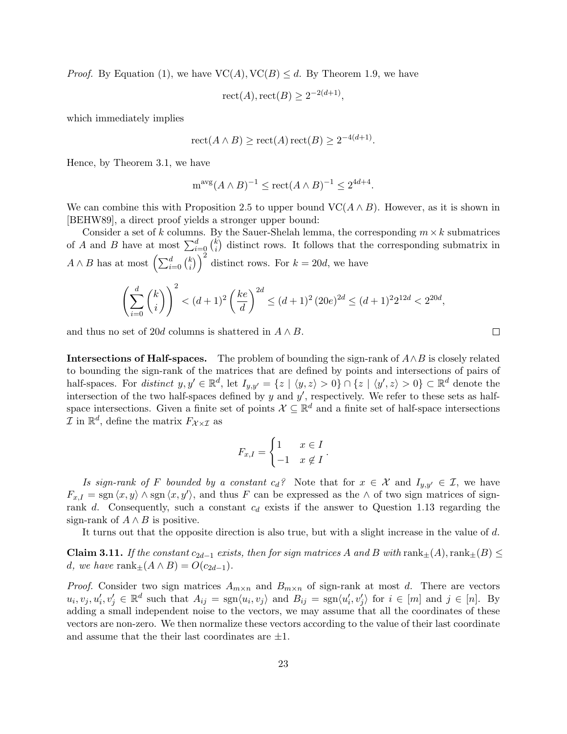*Proof.* By [Equation \(1\),](#page-1-2) we have  $VC(A), VC(B) \leq d$ . By [Theorem 1.9,](#page-4-1) we have

$$
\mathrm{rect}(A), \mathrm{rect}(B) \ge 2^{-2(d+1)},
$$

which immediately implies

$$
\operatorname{rect}(A \wedge B) \ge \operatorname{rect}(A)\operatorname{rect}(B) \ge 2^{-4(d+1)}.
$$

Hence, by [Theorem 3.1,](#page-13-1) we have

$$
m^{avg}(A \wedge B)^{-1} \le \text{rect}(A \wedge B)^{-1} \le 2^{4d+4}.
$$

We can combine this with [Proposition 2.5](#page-11-0) to upper bound  $\mathrm{VC}(A \wedge B)$ . However, as it is shown in [\[BEHW89\]](#page-27-7), a direct proof yields a stronger upper bound:

Consider a set of k columns. By the Sauer-Shelah lemma, the corresponding  $m \times k$  submatrices of A and B have at most  $\sum_{i=0}^{d} {k \choose i}$  $\binom{k}{i}$  distinct rows. It follows that the corresponding submatrix in  $A \wedge B$  has at most  $\left(\sum_{i=0}^d \binom{k}{i}\right)$  $\binom{k}{i}$  distinct rows. For  $k = 20d$ , we have

$$
\left(\sum_{i=0}^d \binom{k}{i}\right)^2 < (d+1)^2 \left(\frac{ke}{d}\right)^{2d} \le (d+1)^2 \left(20e\right)^{2d} \le (d+1)^2 2^{12d} < 2^{20d},
$$

and thus no set of 20d columns is shattered in  $A \wedge B$ .

**Intersections of Half-spaces.** The problem of bounding the sign-rank of  $A \wedge B$  is closely related to bounding the sign-rank of the matrices that are defined by points and intersections of pairs of half-spaces. For distinct  $y, y' \in \mathbb{R}^d$ , let  $I_{y,y'} = \{z \mid \langle y, z \rangle > 0\} \cap \{z \mid \langle y', z \rangle > 0\} \subset \mathbb{R}^d$  denote the intersection of the two half-spaces defined by  $y$  and  $y'$ , respectively. We refer to these sets as halfspace intersections. Given a finite set of points  $\mathcal{X} \subseteq \mathbb{R}^d$  and a finite set of half-space intersections  $\mathcal I$  in  $\mathbb R^d$ , define the matrix  $F_{\mathcal X \times \mathcal I}$  as

$$
F_{x,I} = \begin{cases} 1 & x \in I \\ -1 & x \notin I \end{cases}.
$$

Is sign-rank of F bounded by a constant  $c_d$ ? Note that for  $x \in \mathcal{X}$  and  $I_{y,y'} \in \mathcal{I}$ , we have  $F_{x,I} = \text{sgn}\langle x, y \rangle \wedge \text{sgn}\langle x, y' \rangle$ , and thus F can be expressed as the  $\wedge$  of two sign matrices of signrank d. Consequently, such a constant  $c_d$  exists if the answer to [Question 1.13](#page-5-2) regarding the sign-rank of  $A \wedge B$  is positive.

It turns out that the opposite direction is also true, but with a slight increase in the value of d.

<span id="page-22-0"></span>**Claim 3.11.** If the constant  $c_{2d-1}$  exists, then for sign matrices A and B with  $rank_{\pm}(A)$ ,  $rank_{\pm}(B) \leq$ d, we have rank $\pm(A \wedge B) = O(c_{2d-1}).$ 

*Proof.* Consider two sign matrices  $A_{m \times n}$  and  $B_{m \times n}$  of sign-rank at most d. There are vectors  $u_i, v_j, u'_i, v'_j \in \mathbb{R}^d$  such that  $A_{ij} = \text{sgn}\langle u_i, v_j \rangle$  and  $B_{ij} = \text{sgn}\langle u'_i, v'_j \rangle$  for  $i \in [m]$  and  $j \in [n]$ . By adding a small independent noise to the vectors, we may assume that all the coordinates of these vectors are non-zero. We then normalize these vectors according to the value of their last coordinate and assume that the their last coordinates are  $\pm 1$ .

 $\Box$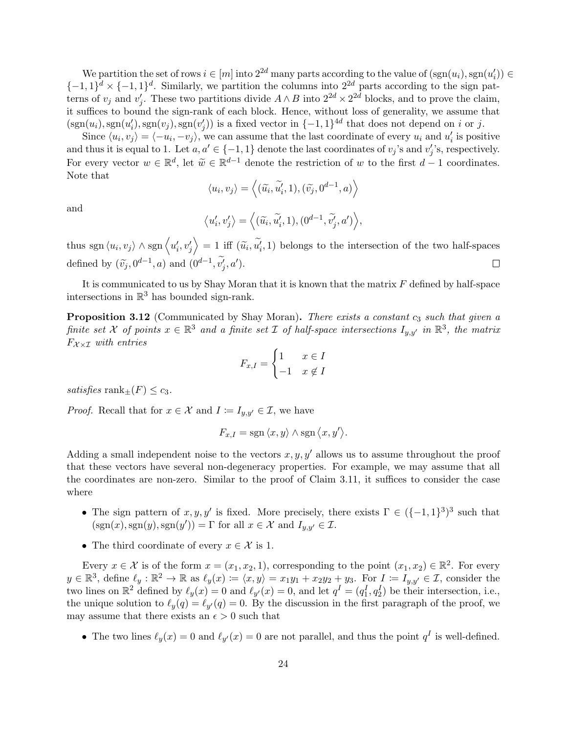We partition the set of rows  $i \in [m]$  into  $2^{2d}$  many parts according to the value of  $(\text{sgn}(u_i), \text{sgn}(u'_i)) \in$  $\{-1,1\}^d \times \{-1,1\}^d$ . Similarly, we partition the columns into  $2^{2d}$  parts according to the sign patterns of  $v_j$  and  $v'_j$ . These two partitions divide  $A \wedge B$  into  $2^{2d} \times 2^{2d}$  blocks, and to prove the claim, it suffices to bound the sign-rank of each block. Hence, without loss of generality, we assume that  $(\text{sgn}(u_i), \text{sgn}(u'_i), \text{sgn}(v'_j))$  is a fixed vector in  $\{-1, 1\}^{4d}$  that does not depend on i or j.

Since  $\langle u_i, v_j \rangle = \langle -u_i, -v_j \rangle$ , we can assume that the last coordinate of every  $u_i$  and  $u'_i$  is positive and thus it is equal to 1. Let  $a, a' \in \{-1, 1\}$  denote the last coordinates of  $v_j$ 's and  $v'_j$ 's, respectively. For every vector  $w \in \mathbb{R}^d$ , let  $\widetilde{w} \in \mathbb{R}^{d-1}$  denote the restriction of w to the first  $d-1$  coordinates.<br>Note that Note that

$$
\langle u_i, v_j \rangle = \langle (\widetilde{u_i}, \widetilde{u_i'}, 1), (\widetilde{v_j}, 0^{d-1}, a) \rangle
$$

and

$$
\langle u'_i, v'_j \rangle = \langle (\tilde{u}_i, \tilde{u}'_i, 1), (0^{d-1}, \tilde{v}'_j, a') \rangle,
$$

thus sgn  $\langle u_i, v_j \rangle \wedge \text{sgn} \langle u'_i, v'_j \rangle = 1$  iff  $(\tilde{u}_i, \tilde{u}'_i, 1)$  belongs to the intersection of the two half-spaces defined by  $(\tilde{v}_j, 0^{d-1}, a)$  and  $(0^{d-1}, \tilde{v'_j}, a')$ .  $\Box$ 

It is communicated to us by Shay Moran that it is known that the matrix  $F$  defined by half-space intersections in  $\mathbb{R}^3$  has bounded sign-rank.

<span id="page-23-0"></span>**Proposition 3.12** (Communicated by Shay Moran). There exists a constant  $c_3$  such that given a finite set X of points  $x \in \mathbb{R}^3$  and a finite set I of half-space intersections  $I_{y,y'}$  in  $\mathbb{R}^3$ , the matrix  $F_{\chi\chi\tau}$  with entries

$$
F_{x,I} = \begin{cases} 1 & x \in I \\ -1 & x \notin I \end{cases}
$$

satisfies rank $_{\pm}(F) \leq c_3$ .

*Proof.* Recall that for  $x \in \mathcal{X}$  and  $I := I_{y,y'} \in \mathcal{I}$ , we have

$$
F_{x,I} = \text{sgn}\,\langle x,y\rangle \wedge \text{sgn}\,\langle x,y'\rangle.
$$

Adding a small independent noise to the vectors  $x, y, y'$  allows us to assume throughout the proof that these vectors have several non-degeneracy properties. For example, we may assume that all the coordinates are non-zero. Similar to the proof of [Claim 3.11,](#page-22-0) it suffices to consider the case where

- The sign pattern of  $x, y, y'$  is fixed. More precisely, there exists  $\Gamma \in (\{-1, 1\}^3)^3$  such that  $(\text{sgn}(x), \text{sgn}(y), \text{sgn}(y')) = \Gamma$  for all  $x \in \mathcal{X}$  and  $I_{y,y'} \in \mathcal{I}$ .
- The third coordinate of every  $x \in \mathcal{X}$  is 1.

Every  $x \in \mathcal{X}$  is of the form  $x = (x_1, x_2, 1)$ , corresponding to the point  $(x_1, x_2) \in \mathbb{R}^2$ . For every  $y \in \mathbb{R}^3$ , define  $\ell_y : \mathbb{R}^2 \to \mathbb{R}$  as  $\ell_y(x) \coloneqq \langle x, y \rangle = x_1y_1 + x_2y_2 + y_3$ . For  $I \coloneqq I_{y,y'} \in \mathcal{I}$ , consider the two lines on  $\mathbb{R}^2$  defined by  $\ell_y(x) = 0$  and  $\ell_{y'}(x) = 0$ , and let  $q^I = (q_1^I, q_2^I)$  be their intersection, i.e., the unique solution to  $\ell_y(q) = \ell_{y'}(q) = 0$ . By the discussion in the first paragraph of the proof, we may assume that there exists an  $\epsilon > 0$  such that

• The two lines  $\ell_y(x) = 0$  and  $\ell_{y'}(x) = 0$  are not parallel, and thus the point  $q<sup>I</sup>$  is well-defined.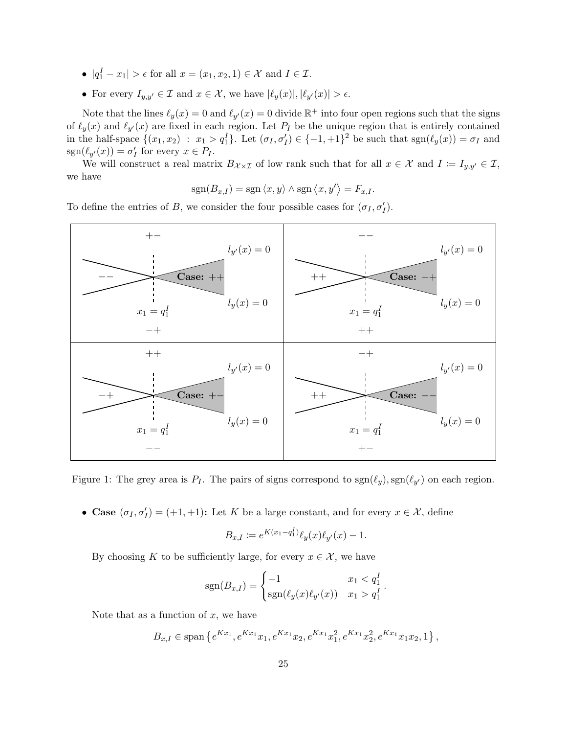- $|q_1^I x_1| > \epsilon$  for all  $x = (x_1, x_2, 1) \in \mathcal{X}$  and  $I \in \mathcal{I}$ .
- For every  $I_{y,y'} \in \mathcal{I}$  and  $x \in \mathcal{X}$ , we have  $|\ell_y(x)|, |\ell_{y'}(x)| > \epsilon$ .

Note that the lines  $\ell_y(x) = 0$  and  $\ell_{y'}(x) = 0$  divide  $\mathbb{R}^+$  into four open regions such that the signs of  $\ell_y(x)$  and  $\ell_{y'}(x)$  are fixed in each region. Let  $P_I$  be the unique region that is entirely contained in the half-space  $\{(x_1, x_2) : x_1 > q_1^I\}$ . Let  $(\sigma_I, \sigma_I') \in \{-1, +1\}^2$  be such that  $sgn(\ell_y(x)) = \sigma_I$  and  $sgn(\ell_{y'}(x)) = \sigma'_I$  for every  $x \in P_I$ .

We will construct a real matrix  $B_{\mathcal{X}\times\mathcal{I}}$  of low rank such that for all  $x \in \mathcal{X}$  and  $I := I_{y,y'} \in \mathcal{I}$ , we have

$$
sgn(B_{x,I}) = sgn \langle x, y \rangle \wedge sgn \langle x, y' \rangle = F_{x,I}.
$$

To define the entries of B, we consider the four possible cases for  $(\sigma_I, \sigma_I')$ .



<span id="page-24-0"></span>Figure 1: The grey area is  $P_I$ . The pairs of signs correspond to  $sgn(\ell_y)$ ,  $sgn(\ell_{y'})$  on each region.

• Case  $(\sigma_I, \sigma'_I) = (+1, +1)$ : Let K be a large constant, and for every  $x \in \mathcal{X}$ , define

$$
B_{x,I} := e^{K(x_1 - q_1^I)} \ell_y(x) \ell_{y'}(x) - 1.
$$

By choosing K to be sufficiently large, for every  $x \in \mathcal{X}$ , we have

$$
sgn(B_{x,I}) = \begin{cases} -1 & x_1 < q_1^I \\ sgn(\ell_y(x)\ell_{y'}(x)) & x_1 > q_1^I \end{cases}.
$$

Note that as a function of  $x$ , we have

$$
B_{x,I} \in \text{span}\left\{e^{Kx_1}, e^{Kx_1}x_1, e^{Kx_1}x_2, e^{Kx_1}x_1^2, e^{Kx_1}x_2^2, e^{Kx_1}x_1x_2, 1\right\},\
$$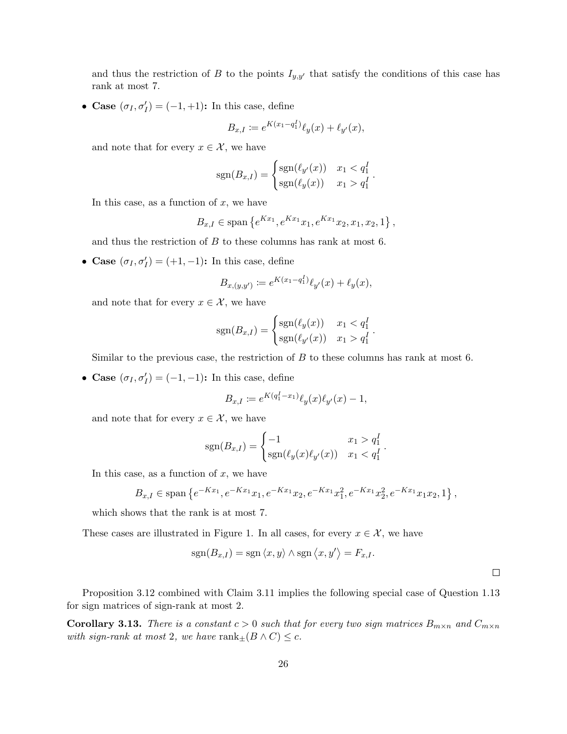and thus the restriction of B to the points  $I_{y,y'}$  that satisfy the conditions of this case has rank at most 7.

• Case  $(\sigma_I, \sigma'_I) = (-1, +1)$ : In this case, define

$$
B_{x,I} := e^{K(x_1 - q_1^I)} \ell_y(x) + \ell_{y'}(x),
$$

and note that for every  $x \in \mathcal{X}$ , we have

$$
sgn(B_{x,I}) = \begin{cases} sgn(\ell_{y'}(x)) & x_1 < q_1^I \\ sgn(\ell_{y}(x)) & x_1 > q_1^I \end{cases}.
$$

In this case, as a function of  $x$ , we have

$$
B_{x,I} \in \text{span}\left\{e^{Kx_1}, e^{Kx_1}x_1, e^{Kx_1}x_2, x_1, x_2, 1\right\},\
$$

and thus the restriction of B to these columns has rank at most 6.

• Case  $(\sigma_I, \sigma'_I) = (+1, -1)$ : In this case, define

$$
B_{x,(y,y')} := e^{K(x_1 - q_1^I)} \ell_{y'}(x) + \ell_{y}(x),
$$

and note that for every  $x \in \mathcal{X}$ , we have

$$
sgn(B_{x,I}) = \begin{cases} sgn(\ell_y(x)) & x_1 < q_1^I \\ sgn(\ell_{y'}(x)) & x_1 > q_1^I \end{cases}.
$$

Similar to the previous case, the restriction of  $B$  to these columns has rank at most 6.

• Case  $(\sigma_I, \sigma'_I) = (-1, -1)$ : In this case, define

$$
B_{x,I} := e^{K(q_1^I - x_1)} \ell_y(x) \ell_{y'}(x) - 1,
$$

and note that for every  $x \in \mathcal{X}$ , we have

$$
sgn(B_{x,I}) = \begin{cases} -1 & x_1 > q_1^I \\ sgn(\ell_y(x)\ell_{y'}(x)) & x_1 < q_1^I \end{cases}.
$$

In this case, as a function of  $x$ , we have

$$
B_{x,I} \in \text{span}\left\{e^{-Kx_1}, e^{-Kx_1}x_1, e^{-Kx_1}x_2, e^{-Kx_1}x_1^2, e^{-Kx_1}x_2^2, e^{-Kx_1}x_1x_2, 1\right\},\
$$

which shows that the rank is at most 7.

These cases are illustrated in [Figure 1.](#page-24-0) In all cases, for every  $x \in \mathcal{X}$ , we have

$$
sgn(B_{x,I}) = sgn \langle x, y \rangle \wedge sgn \langle x, y' \rangle = F_{x,I}.
$$

 $\Box$ 

[Proposition 3.12](#page-23-0) combined with [Claim 3.11](#page-22-0) implies the following special case of [Question 1.13](#page-5-2) for sign matrices of sign-rank at most 2.

**Corollary 3.13.** There is a constant  $c > 0$  such that for every two sign matrices  $B_{m \times n}$  and  $C_{m \times n}$ with sign-rank at most 2, we have  $rank_{\pm}(B \wedge C) \leq c$ .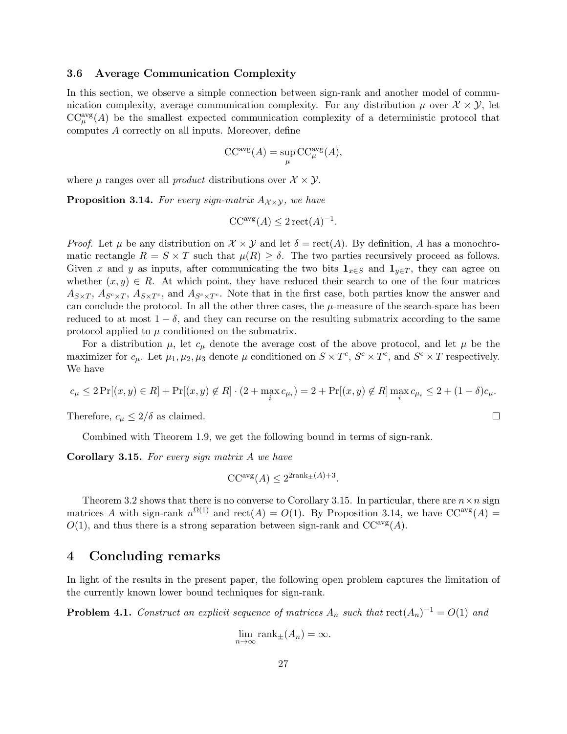#### <span id="page-26-0"></span>3.6 Average Communication Complexity

In this section, we observe a simple connection between sign-rank and another model of communication complexity, average communication complexity. For any distribution  $\mu$  over  $\mathcal{X} \times \mathcal{Y}$ , let  $CC^{\text{avg}}_{\mu}(A)$  be the smallest expected communication complexity of a deterministic protocol that computes A correctly on all inputs. Moreover, define

$$
\text{CC}^{\text{avg}}(A) = \sup_{\mu} \text{CC}^{\text{avg}}_{\mu}(A),
$$

<span id="page-26-2"></span>where  $\mu$  ranges over all *product* distributions over  $\mathcal{X} \times \mathcal{Y}$ .

**Proposition 3.14.** For every sign-matrix  $A_{\chi \times \chi}$ , we have

$$
CC^{\text{avg}}(A) \le 2 \operatorname{rect}(A)^{-1}.
$$

*Proof.* Let  $\mu$  be any distribution on  $\mathcal{X} \times \mathcal{Y}$  and let  $\delta = \text{rect}(A)$ . By definition, A has a monochromatic rectangle  $R = S \times T$  such that  $\mu(R) \geq \delta$ . The two parties recursively proceed as follows. Given x and y as inputs, after communicating the two bits  $1_{x\in S}$  and  $1_{y\in T}$ , they can agree on whether  $(x, y) \in R$ . At which point, they have reduced their search to one of the four matrices  $A_{S\times T}$ ,  $A_{S\times T}$ ,  $A_{S\times T}$ , and  $A_{S\times T}$ . Note that in the first case, both parties know the answer and can conclude the protocol. In all the other three cases, the  $\mu$ -measure of the search-space has been reduced to at most  $1 - \delta$ , and they can recurse on the resulting submatrix according to the same protocol applied to  $\mu$  conditioned on the submatrix.

For a distribution  $\mu$ , let  $c_{\mu}$  denote the average cost of the above protocol, and let  $\mu$  be the maximizer for  $c_{\mu}$ . Let  $\mu_1, \mu_2, \mu_3$  denote  $\mu$  conditioned on  $S \times T^c$ ,  $S^c \times T^c$ , and  $S^c \times T$  respectively. We have

$$
c_{\mu} \le 2 \Pr[(x, y) \in R] + \Pr[(x, y) \notin R] \cdot (2 + \max_{i} c_{\mu_i}) = 2 + \Pr[(x, y) \notin R] \max_{i} c_{\mu_i} \le 2 + (1 - \delta) c_{\mu}.
$$

Therefore,  $c_{\mu} \leq 2/\delta$  as claimed.

Combined with [Theorem 1.9,](#page-4-1) we get the following bound in terms of sign-rank.

<span id="page-26-1"></span>Corollary 3.15. For every sign matrix A we have

$$
CC^{\text{avg}}(A) \le 2^{2\text{rank}_{\pm}(A)+3}.
$$

[Theorem 3.2](#page-13-3) shows that there is no converse to [Corollary 3.15.](#page-26-1) In particular, there are  $n \times n$  sign matrices A with sign-rank  $n^{\Omega(1)}$  and  $rect(A) = O(1)$ . By [Proposition 3.14,](#page-26-2) we have  $CC^{avg}(A) =$  $O(1)$ , and thus there is a strong separation between sign-rank and  $CC^{avg}(A)$ .

### 4 Concluding remarks

In light of the results in the present paper, the following open problem captures the limitation of the currently known lower bound techniques for sign-rank.

<span id="page-26-3"></span>**Problem 4.1.** Construct an explicit sequence of matrices  $A_n$  such that  $rect(A_n)^{-1} = O(1)$  and

$$
\lim_{n \to \infty} \text{rank}_{\pm}(A_n) = \infty.
$$

 $\Box$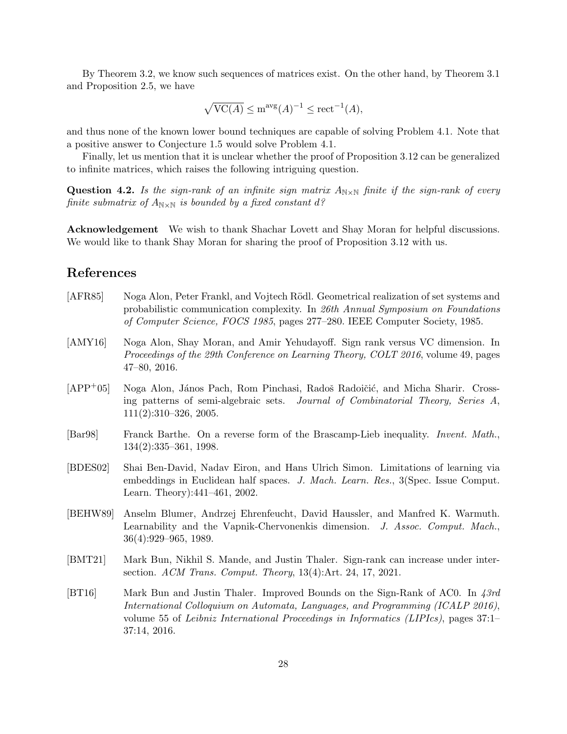By [Theorem 3.2,](#page-13-3) we know such sequences of matrices exist. On the other hand, by [Theorem 3.1](#page-13-1) and [Proposition 2.5,](#page-11-0) we have

$$
\sqrt{\text{VC}(A)} \le \text{m}^{\text{avg}}(A)^{-1} \le \text{rect}^{-1}(A),
$$

and thus none of the known lower bound techniques are capable of solving [Problem 4.1.](#page-26-3) Note that a positive answer to [Conjecture 1.5](#page-3-1) would solve [Problem 4.1.](#page-26-3)

Finally, let us mention that it is unclear whether the proof of [Proposition 3.12](#page-23-0) can be generalized to infinite matrices, which raises the following intriguing question.

**Question 4.2.** Is the sign-rank of an infinite sign matrix  $A_{N\times N}$  finite if the sign-rank of every finite submatrix of  $A_{N\times N}$  is bounded by a fixed constant  $d$ ?

Acknowledgement We wish to thank Shachar Lovett and Shay Moran for helpful discussions. We would like to thank Shay Moran for sharing the proof of [Proposition 3.12](#page-23-0) with us.

## References

- <span id="page-27-1"></span>[AFR85] Noga Alon, Peter Frankl, and Vojtech Rödl. Geometrical realization of set systems and probabilistic communication complexity. In 26th Annual Symposium on Foundations of Computer Science, FOCS 1985, pages 277–280. IEEE Computer Society, 1985.
- <span id="page-27-3"></span>[AMY16] Noga Alon, Shay Moran, and Amir Yehudayoff. Sign rank versus VC dimension. In Proceedings of the 29th Conference on Learning Theory, COLT 2016, volume 49, pages 47–80, 2016.
- <span id="page-27-4"></span>[APP<sup>+</sup>05] Noga Alon, János Pach, Rom Pinchasi, Radoš Radoičić, and Micha Sharir. Crossing patterns of semi-algebraic sets. Journal of Combinatorial Theory, Series A, 111(2):310–326, 2005.
- <span id="page-27-5"></span>[Bar98] Franck Barthe. On a reverse form of the Brascamp-Lieb inequality. Invent. Math., 134(2):335–361, 1998.
- <span id="page-27-0"></span>[BDES02] Shai Ben-David, Nadav Eiron, and Hans Ulrich Simon. Limitations of learning via embeddings in Euclidean half spaces. J. Mach. Learn. Res., 3(Spec. Issue Comput. Learn. Theory):441–461, 2002.
- <span id="page-27-7"></span>[BEHW89] Anselm Blumer, Andrzej Ehrenfeucht, David Haussler, and Manfred K. Warmuth. Learnability and the Vapnik-Chervonenkis dimension. J. Assoc. Comput. Mach., 36(4):929–965, 1989.
- <span id="page-27-6"></span>[BMT21] Mark Bun, Nikhil S. Mande, and Justin Thaler. Sign-rank can increase under intersection. ACM Trans. Comput. Theory, 13(4):Art. 24, 17, 2021.
- <span id="page-27-2"></span>[BT16] Mark Bun and Justin Thaler. Improved Bounds on the Sign-Rank of AC0. In 43rd International Colloquium on Automata, Languages, and Programming (ICALP 2016), volume 55 of Leibniz International Proceedings in Informatics (LIPIcs), pages 37:1– 37:14, 2016.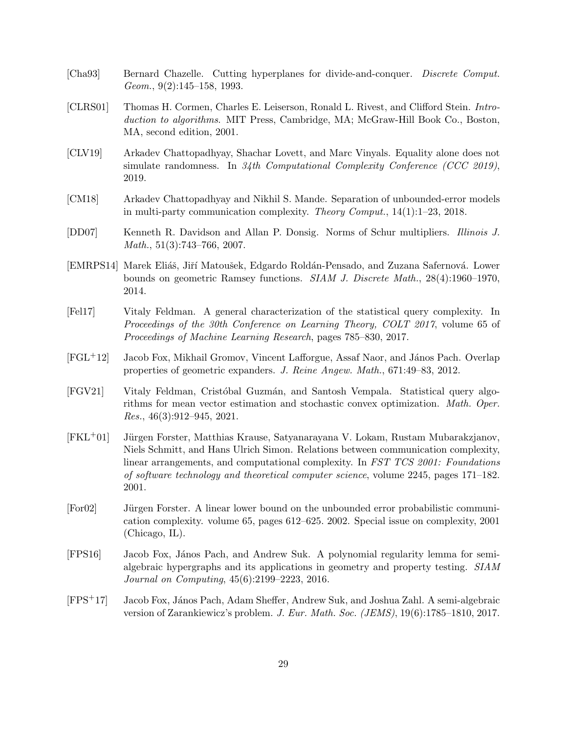- <span id="page-28-9"></span>[Cha93] Bernard Chazelle. Cutting hyperplanes for divide-and-conquer. Discrete Comput. Geom., 9(2):145–158, 1993.
- <span id="page-28-10"></span>[CLRS01] Thomas H. Cormen, Charles E. Leiserson, Ronald L. Rivest, and Clifford Stein. Introduction to algorithms. MIT Press, Cambridge, MA; McGraw-Hill Book Co., Boston, MA, second edition, 2001.
- <span id="page-28-11"></span>[CLV19] Arkadev Chattopadhyay, Shachar Lovett, and Marc Vinyals. Equality alone does not simulate randomness. In 34th Computational Complexity Conference (CCC 2019), 2019.
- <span id="page-28-5"></span>[CM18] Arkadev Chattopadhyay and Nikhil S. Mande. Separation of unbounded-error models in multi-party communication complexity. *Theory Comput.*,  $14(1):1-23$ , 2018.
- <span id="page-28-12"></span>[DD07] Kenneth R. Davidson and Allan P. Donsig. Norms of Schur multipliers. Illinois J. Math., 51(3):743–766, 2007.
- <span id="page-28-4"></span>[EMRPS14] Marek Eliáš, Jiří Matoušek, Edgardo Roldán-Pensado, and Zuzana Safernová. Lower bounds on geometric Ramsey functions. SIAM J. Discrete Math., 28(4):1960–1970, 2014.
- <span id="page-28-0"></span>[Fel17] Vitaly Feldman. A general characterization of the statistical query complexity. In Proceedings of the 30th Conference on Learning Theory, COLT 2017, volume 65 of Proceedings of Machine Learning Research, pages 785–830, 2017.
- <span id="page-28-2"></span>[FGL+12] Jacob Fox, Mikhail Gromov, Vincent Lafforgue, Assaf Naor, and J´anos Pach. Overlap properties of geometric expanders. J. Reine Angew. Math., 671:49–83, 2012.
- <span id="page-28-1"></span>[FGV21] Vitaly Feldman, Crist´obal Guzm´an, and Santosh Vempala. Statistical query algorithms for mean vector estimation and stochastic convex optimization. Math. Oper. *Res.*,  $46(3):912-945$ ,  $2021$ .
- <span id="page-28-7"></span>[FKL<sup>+</sup>01] Jürgen Forster, Matthias Krause, Satyanarayana V. Lokam, Rustam Mubarakzjanov, Niels Schmitt, and Hans Ulrich Simon. Relations between communication complexity, linear arrangements, and computational complexity. In FST TCS 2001: Foundations of software technology and theoretical computer science, volume 2245, pages 171–182. 2001.
- <span id="page-28-6"></span>[For02] Jürgen Forster. A linear lower bound on the unbounded error probabilistic communication complexity. volume 65, pages 612–625. 2002. Special issue on complexity, 2001 (Chicago, IL).
- <span id="page-28-8"></span>[FPS16] Jacob Fox, János Pach, and Andrew Suk. A polynomial regularity lemma for semialgebraic hypergraphs and its applications in geometry and property testing. SIAM Journal on Computing, 45(6):2199–2223, 2016.
- <span id="page-28-3"></span>[FPS+17] Jacob Fox, J´anos Pach, Adam Sheffer, Andrew Suk, and Joshua Zahl. A semi-algebraic version of Zarankiewicz's problem. J. Eur. Math. Soc. (JEMS), 19(6):1785–1810, 2017.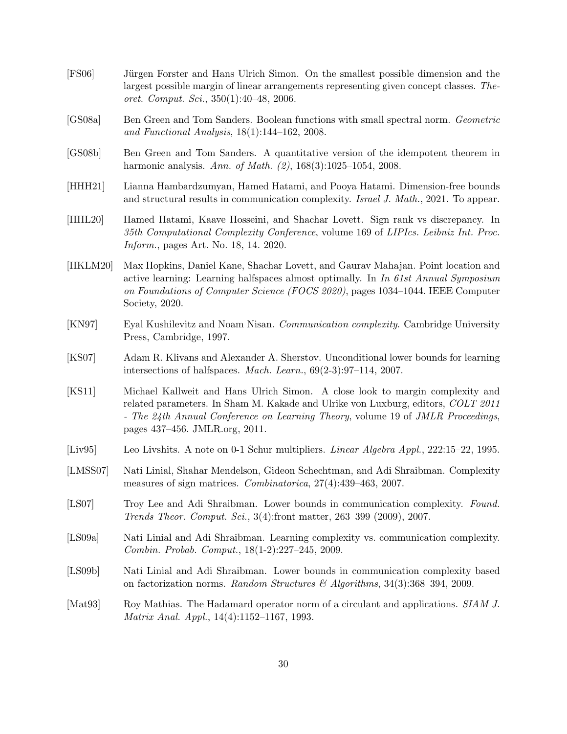- <span id="page-29-5"></span>[FS06] Jürgen Forster and Hans Ulrich Simon. On the smallest possible dimension and the largest possible margin of linear arrangements representing given concept classes. Theoret. Comput. Sci., 350(1):40–48, 2006.
- <span id="page-29-6"></span>[GS08a] Ben Green and Tom Sanders. Boolean functions with small spectral norm. Geometric and Functional Analysis, 18(1):144–162, 2008.
- <span id="page-29-7"></span>[GS08b] Ben Green and Tom Sanders. A quantitative version of the idempotent theorem in harmonic analysis. Ann. of Math. (2), 168(3):1025–1054, 2008.
- <span id="page-29-8"></span>[HHH21] Lianna Hambardzumyan, Hamed Hatami, and Pooya Hatami. Dimension-free bounds and structural results in communication complexity. Israel J. Math., 2021. To appear.
- <span id="page-29-1"></span>[HHL20] Hamed Hatami, Kaave Hosseini, and Shachar Lovett. Sign rank vs discrepancy. In 35th Computational Complexity Conference, volume 169 of LIPIcs. Leibniz Int. Proc. Inform., pages Art. No. 18, 14. 2020.
- <span id="page-29-10"></span>[HKLM20] Max Hopkins, Daniel Kane, Shachar Lovett, and Gaurav Mahajan. Point location and active learning: Learning halfspaces almost optimally. In In 61st Annual Symposium on Foundations of Computer Science (FOCS 2020), pages 1034–1044. IEEE Computer Society, 2020.
- <span id="page-29-11"></span>[KN97] Eyal Kushilevitz and Noam Nisan. Communication complexity. Cambridge University Press, Cambridge, 1997.
- <span id="page-29-0"></span>[KS07] Adam R. Klivans and Alexander A. Sherstov. Unconditional lower bounds for learning intersections of halfspaces. Mach. Learn., 69(2-3):97–114, 2007.
- <span id="page-29-4"></span>[KS11] Michael Kallweit and Hans Ulrich Simon. A close look to margin complexity and related parameters. In Sham M. Kakade and Ulrike von Luxburg, editors, COLT 2011 - The 24th Annual Conference on Learning Theory, volume 19 of JMLR Proceedings, pages 437–456. JMLR.org, 2011.
- <span id="page-29-13"></span>[Liv95] Leo Livshits. A note on 0-1 Schur multipliers. Linear Algebra Appl., 222:15–22, 1995.
- <span id="page-29-3"></span>[LMSS07] Nati Linial, Shahar Mendelson, Gideon Schechtman, and Adi Shraibman. Complexity measures of sign matrices. Combinatorica, 27(4):439–463, 2007.
- <span id="page-29-12"></span>[LS07] Troy Lee and Adi Shraibman. Lower bounds in communication complexity. Found. Trends Theor. Comput. Sci., 3(4):front matter, 263–399 (2009), 2007.
- <span id="page-29-2"></span>[LS09a] Nati Linial and Adi Shraibman. Learning complexity vs. communication complexity. Combin. Probab. Comput., 18(1-2):227–245, 2009.
- <span id="page-29-9"></span>[LS09b] Nati Linial and Adi Shraibman. Lower bounds in communication complexity based on factorization norms. Random Structures & Algorithms,  $34(3):368-394$ , 2009.
- <span id="page-29-14"></span>[Mat93] Roy Mathias. The Hadamard operator norm of a circulant and applications. SIAM J. Matrix Anal. Appl., 14(4):1152–1167, 1993.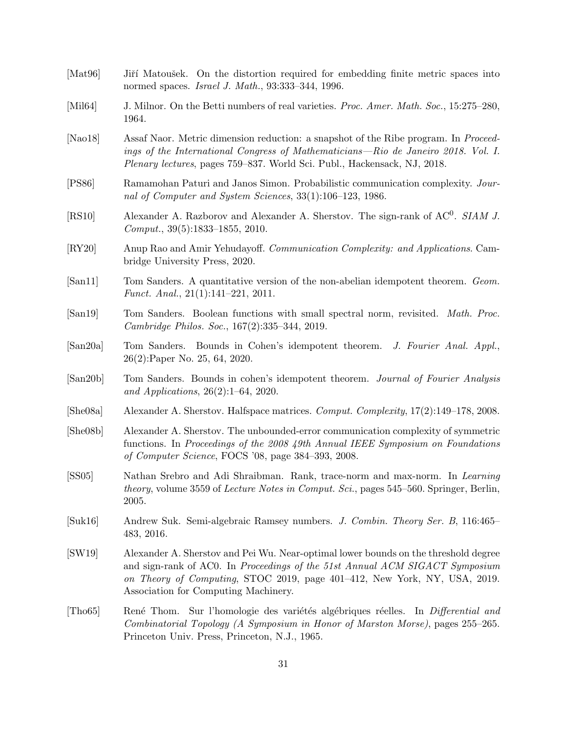<span id="page-30-15"></span><span id="page-30-14"></span><span id="page-30-13"></span><span id="page-30-12"></span><span id="page-30-11"></span><span id="page-30-10"></span><span id="page-30-9"></span><span id="page-30-8"></span><span id="page-30-7"></span><span id="page-30-6"></span><span id="page-30-5"></span><span id="page-30-4"></span><span id="page-30-3"></span><span id="page-30-2"></span><span id="page-30-1"></span><span id="page-30-0"></span>

| [Mat96]                    | Jiří Matoušek. On the distortion required for embedding finite metric spaces into<br>normed spaces. <i>Israel J. Math.</i> , 93:333-344, 1996.                                                                                                                                           |  |
|----------------------------|------------------------------------------------------------------------------------------------------------------------------------------------------------------------------------------------------------------------------------------------------------------------------------------|--|
| [Mil64]                    | J. Milnor. On the Betti numbers of real varieties. Proc. Amer. Math. Soc., 15:275–280,<br>1964.                                                                                                                                                                                          |  |
| [Nao $18$ ]                | Assaf Naor. Metric dimension reduction: a snapshot of the Ribe program. In <i>Proceed-</i><br>ings of the International Congress of Mathematicians—Rio de Janeiro 2018. Vol. I.<br>Plenary lectures, pages 759–837. World Sci. Publ., Hackensack, NJ, 2018.                              |  |
| [PS86]                     | Ramamohan Paturi and Janos Simon. Probabilistic communication complexity. Jour-<br>nal of Computer and System Sciences, 33(1):106-123, 1986.                                                                                                                                             |  |
| [RS10]                     | Alexander A. Razborov and Alexander A. Sherstov. The sign-rank of AC <sup>0</sup> . SIAM J.<br>$Comput., 39(5):1833-1855, 2010.$                                                                                                                                                         |  |
| $\left[\text{RY20}\right]$ | Anup Rao and Amir Yehudayoff. Communication Complexity: and Applications. Cam-<br>bridge University Press, 2020.                                                                                                                                                                         |  |
| [San11]                    | Tom Sanders. A quantitative version of the non-abelian idempotent theorem. Geom.<br><i>Funct. Anal.</i> , $21(1):141-221$ , $2011$ .                                                                                                                                                     |  |
| [San19]                    | Tom Sanders. Boolean functions with small spectral norm, revisited. Math. Proc.<br>Cambridge Philos. Soc., 167(2):335-344, 2019.                                                                                                                                                         |  |
| [San20a]                   | Tom Sanders. Bounds in Cohen's idempotent theorem. J. Fourier Anal. Appl.,<br>$26(2)$ :Paper No. 25, 64, 2020.                                                                                                                                                                           |  |
| [San20b]                   | Tom Sanders. Bounds in cohen's idempotent theorem. Journal of Fourier Analysis<br>and Applications, $26(2):1-64$ , 2020.                                                                                                                                                                 |  |
| [She08a]                   | Alexander A. Sherstov. Halfspace matrices. Comput. Complexity, 17(2):149–178, 2008.                                                                                                                                                                                                      |  |
| [She08b]                   | Alexander A. Sherstov. The unbounded-error communication complexity of symmetric<br>functions. In Proceedings of the 2008 49th Annual IEEE Symposium on Foundations<br>of Computer Science, FOCS '08, page 384-393, 2008.                                                                |  |
| [SS05]                     | Nathan Srebro and Adi Shraibman. Rank, trace-norm and max-norm. In Learning<br><i>theory</i> , volume 3559 of <i>Lecture Notes in Comput. Sci.</i> , pages 545–560. Springer, Berlin,<br>2005.                                                                                           |  |
| [Suk16]                    | Andrew Suk. Semi-algebraic Ramsey numbers. J. Combin. Theory Ser. B, 116:465–<br>483, 2016.                                                                                                                                                                                              |  |
| [SW19]                     | Alexander A. Sherstov and Pei Wu. Near-optimal lower bounds on the threshold degree<br>and sign-rank of AC0. In Proceedings of the 51st Annual ACM SIGACT Symposium<br>on Theory of Computing, STOC 2019, page 401-412, New York, NY, USA, 2019.<br>Association for Computing Machinery. |  |
| [Tho65]                    | René Thom. Sur l'homologie des variétés algébriques réelles. In Differential and<br>Combinatorial Topology (A Symposium in Honor of Marston Morse), pages 255–265.<br>Princeton Univ. Press, Princeton, N.J., 1965.                                                                      |  |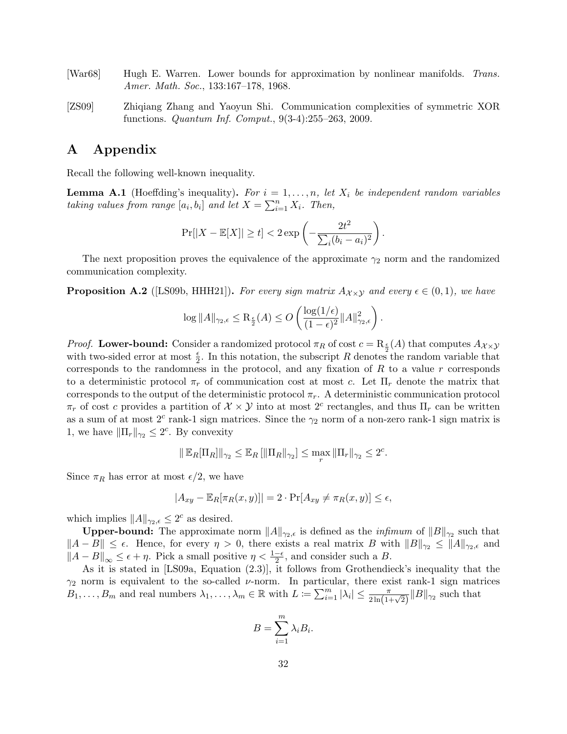- <span id="page-31-0"></span>[War68] Hugh E. Warren. Lower bounds for approximation by nonlinear manifolds. Trans. Amer. Math. Soc., 133:167-178, 1968.
- <span id="page-31-2"></span>[ZS09] Zhiqiang Zhang and Yaoyun Shi. Communication complexities of symmetric XOR functions. Quantum Inf. Comput., 9(3-4):255–263, 2009.

# A Appendix

Recall the following well-known inequality.

**Lemma A.1** (Hoeffding's inequality). For  $i = 1, ..., n$ , let  $X_i$  be independent random variables taking values from range  $[a_i, b_i]$  and let  $X = \sum_{i=1}^n X_i$ . Then,

$$
\Pr[|X - \mathbb{E}[X]| \ge t] < 2 \exp\left(-\frac{2t^2}{\sum_i (b_i - a_i)^2}\right).
$$

The next proposition proves the equivalence of the approximate  $\gamma_2$  norm and the randomized communication complexity.

<span id="page-31-1"></span>**Proposition A.2** ([\[LS09b,](#page-29-9) [HHH21\]](#page-29-8)). For every sign matrix  $A_{\chi \times \chi}$  and every  $\epsilon \in (0,1)$ , we have

$$
\log ||A||_{\gamma_2,\epsilon} \leq \mathrm{R}_{\frac{\epsilon}{2}}(A) \leq O\left(\frac{\log(1/\epsilon)}{(1-\epsilon)^2}||A||_{\gamma_2,\epsilon}^2\right).
$$

*Proof.* Lower-bound: Consider a randomized protocol  $\pi_R$  of cost  $c = \mathrm{R}_{\frac{\epsilon}{2}}(A)$  that computes  $A_{\chi \times \chi}$ with two-sided error at most  $\frac{\epsilon}{2}$ . In this notation, the subscript R denotes the random variable that corresponds to the randomness in the protocol, and any fixation of R to a value r corresponds to a deterministic protocol  $\pi_r$  of communication cost at most c. Let  $\Pi_r$  denote the matrix that corresponds to the output of the deterministic protocol  $\pi_r$ . A deterministic communication protocol  $\pi_r$  of cost c provides a partition of  $\mathcal{X} \times \mathcal{Y}$  into at most  $2^c$  rectangles, and thus  $\Pi_r$  can be written as a sum of at most  $2^c$  rank-1 sign matrices. Since the  $\gamma_2$  norm of a non-zero rank-1 sign matrix is 1, we have  $\|\Pi_r\|_{\gamma_2} \leq 2^c$ . By convexity

$$
\|\mathbb{E}_R[\Pi_R]\|_{\gamma_2} \le \mathbb{E}_R[\|\Pi_R\|_{\gamma_2}] \le \max_r \|\Pi_r\|_{\gamma_2} \le 2^c.
$$

Since  $\pi_R$  has error at most  $\epsilon/2$ , we have

$$
|A_{xy} - \mathbb{E}_R[\pi_R(x, y)]| = 2 \cdot \Pr[A_{xy} \neq \pi_R(x, y)] \le \epsilon,
$$

which implies  $||A||_{\gamma_2,\epsilon} \leq 2^c$  as desired.

**Upper-bound:** The approximate norm  $||A||_{\gamma_2,\epsilon}$  is defined as the *infimum* of  $||B||_{\gamma_2}$  such that  $||A - B|| \leq \epsilon$ . Hence, for every  $\eta > 0$ , there exists a real matrix B with  $||B||_{\gamma_2} \leq ||A||_{\gamma_2,\epsilon}$  and  $||A - B||_{\infty} \leq \epsilon + \eta$ . Pick a small positive  $\eta < \frac{1-\epsilon}{2}$ , and consider such a B.

As it is stated in [\[LS09a,](#page-29-2) Equation (2.3)], it follows from Grothendieck's inequality that the  $\gamma_2$  norm is equivalent to the so-called *v*-norm. In particular, there exist rank-1 sign matrices  $B_1,\ldots,B_m$  and real numbers  $\lambda_1,\ldots,\lambda_m\in\mathbb{R}$  with  $L:=\sum_{i=1}^m|\lambda_i|\leq \frac{\pi}{2\ln(1+\sqrt{2})}||B||_{\gamma_2}$  such that

$$
B = \sum_{i=1}^{m} \lambda_i B_i.
$$